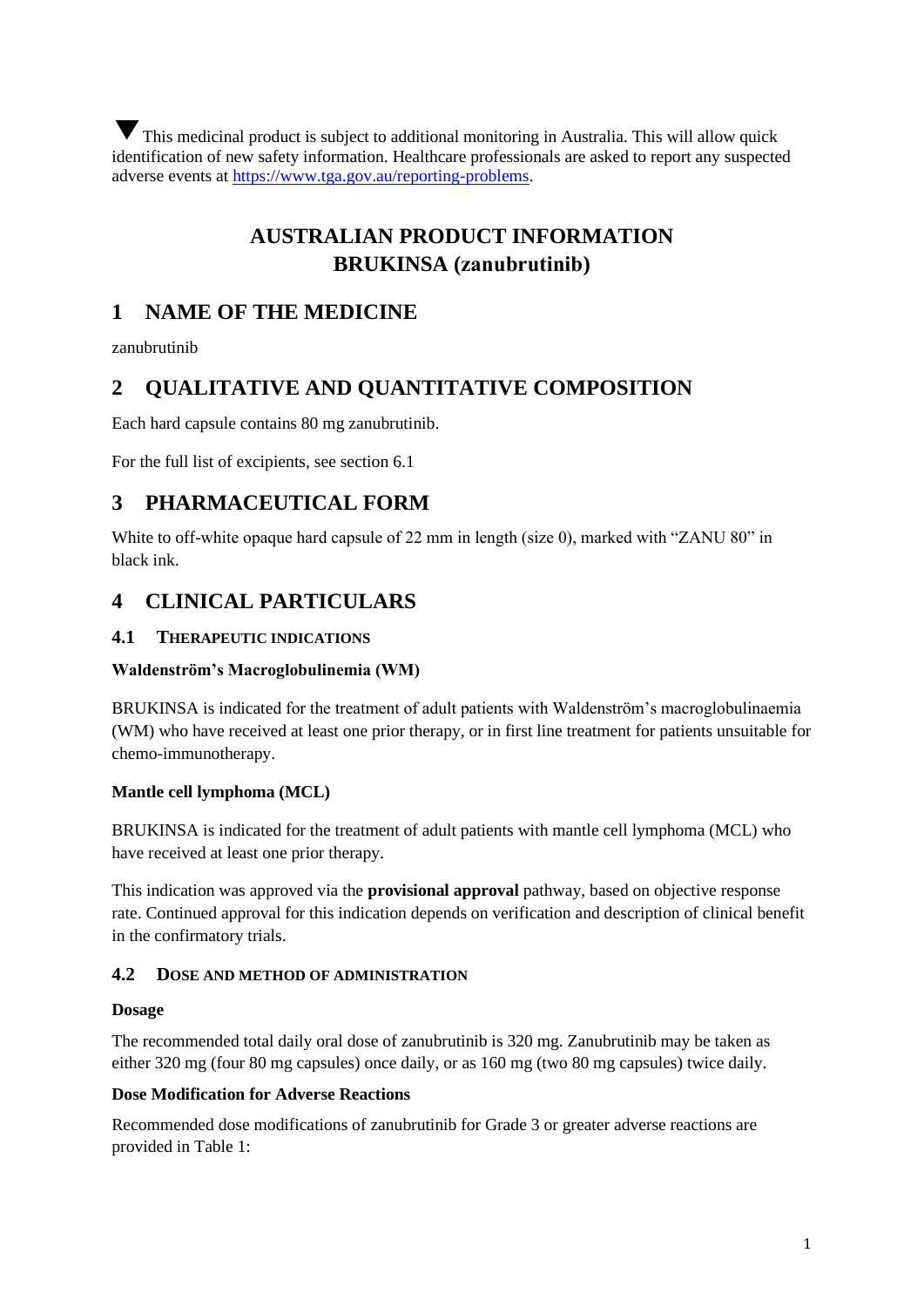▼ This medicinal product is subject to additional monitoring in Australia. This will allow quick identification of new safety information. Healthcare professionals are asked to report any suspected adverse events at [https://www.tga.gov.au/reporting-problems.](https://www.tga.gov.au/reporting-problems)

# **AUSTRALIAN PRODUCT INFORMATION BRUKINSA (zanubrutinib)**

## **1 NAME OF THE MEDICINE**

zanubrutinib

## **2 QUALITATIVE AND QUANTITATIVE COMPOSITION**

Each hard capsule contains 80 mg zanubrutinib.

For the full list of excipients, see section 6.1

## **3 PHARMACEUTICAL FORM**

White to off-white opaque hard capsule of 22 mm in length (size 0), marked with "ZANU 80" in black ink.

## **4 CLINICAL PARTICULARS**

## **4.1 THERAPEUTIC INDICATIONS**

## **Waldenström's Macroglobulinemia (WM)**

BRUKINSA is indicated for the treatment of adult patients with Waldenström's macroglobulinaemia (WM) who have received at least one prior therapy, or in first line treatment for patients unsuitable for chemo-immunotherapy.

## **Mantle cell lymphoma (MCL)**

BRUKINSA is indicated for the treatment of adult patients with mantle cell lymphoma (MCL) who have received at least one prior therapy.

This indication was approved via the **provisional approval** pathway, based on objective response rate. Continued approval for this indication depends on verification and description of clinical benefit in the confirmatory trials.

## **4.2 DOSE AND METHOD OF ADMINISTRATION**

#### **Dosage**

The recommended total daily oral dose of zanubrutinib is 320 mg. Zanubrutinib may be taken as either 320 mg (four 80 mg capsules) once daily, or as 160 mg (two 80 mg capsules) twice daily.

## **Dose Modification for Adverse Reactions**

Recommended dose modifications of zanubrutinib for Grade 3 or greater adverse reactions are provided in Table 1: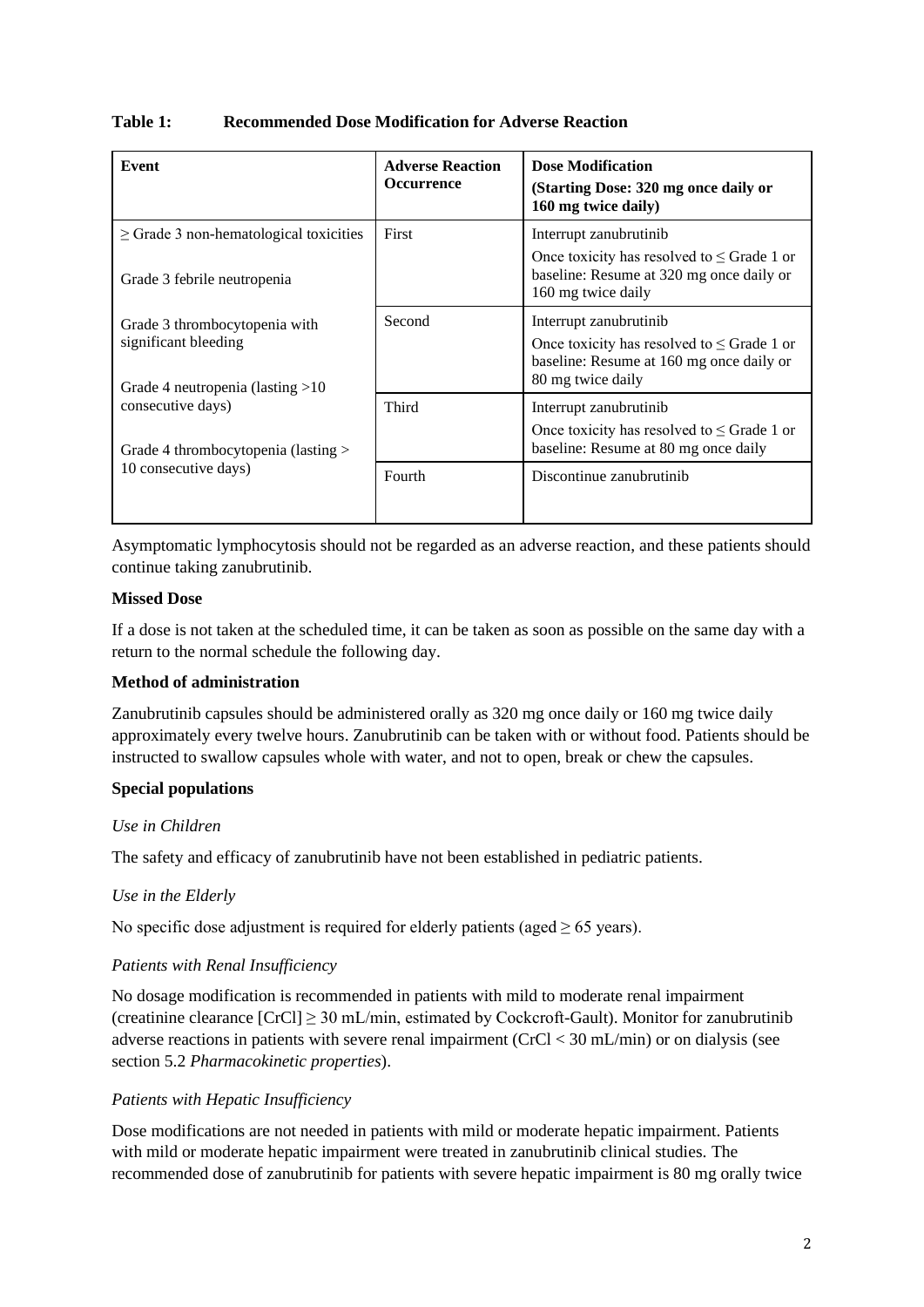## **Table 1: Recommended Dose Modification for Adverse Reaction**

| Event                                                      | <b>Adverse Reaction</b><br><b>Occurrence</b> | <b>Dose Modification</b><br>(Starting Dose: 320 mg once daily or<br>160 mg twice daily)                           |
|------------------------------------------------------------|----------------------------------------------|-------------------------------------------------------------------------------------------------------------------|
| $\geq$ Grade 3 non-hematological toxicities                | First                                        | Interrupt zanubrutinib                                                                                            |
| Grade 3 febrile neutropenia                                |                                              | Once toxicity has resolved to $\leq$ Grade 1 or<br>baseline: Resume at 320 mg once daily or<br>160 mg twice daily |
| Grade 3 thrombocytopenia with                              | Second                                       | Interrupt zanubrutinib                                                                                            |
| significant bleeding<br>Grade 4 neutropenia (lasting $>10$ |                                              | Once toxicity has resolved to $\leq$ Grade 1 or<br>baseline: Resume at 160 mg once daily or<br>80 mg twice daily  |
| consecutive days)                                          | Third                                        | Interrupt zanubrutinib                                                                                            |
| Grade 4 thrombocytopenia (lasting >                        |                                              | Once toxicity has resolved to $\leq$ Grade 1 or<br>baseline: Resume at 80 mg once daily                           |
| 10 consecutive days)                                       | Fourth                                       | Discontinue zanubrutinib                                                                                          |
|                                                            |                                              |                                                                                                                   |

Asymptomatic lymphocytosis should not be regarded as an adverse reaction, and these patients should continue taking zanubrutinib.

## **Missed Dose**

If a dose is not taken at the scheduled time, it can be taken as soon as possible on the same day with a return to the normal schedule the following day.

## **Method of administration**

Zanubrutinib capsules should be administered orally as 320 mg once daily or 160 mg twice daily approximately every twelve hours. Zanubrutinib can be taken with or without food. Patients should be instructed to swallow capsules whole with water, and not to open, break or chew the capsules.

## **Special populations**

## *Use in Children*

The safety and efficacy of zanubrutinib have not been established in pediatric patients.

## *Use in the Elderly*

No specific dose adjustment is required for elderly patients (aged  $\geq 65$  years).

## *Patients with Renal Insufficiency*

No dosage modification is recommended in patients with mild to moderate renal impairment (creatinine clearance  $[CrCl] \geq 30$  mL/min, estimated by Cockcroft-Gault). Monitor for zanubrutinib adverse reactions in patients with severe renal impairment (CrCl < 30 mL/min) or on dialysis (see section 5.2 *Pharmacokinetic properties*).

## *Patients with Hepatic Insufficiency*

Dose modifications are not needed in patients with mild or moderate hepatic impairment. Patients with mild or moderate hepatic impairment were treated in zanubrutinib clinical studies. The recommended dose of zanubrutinib for patients with severe hepatic impairment is 80 mg orally twice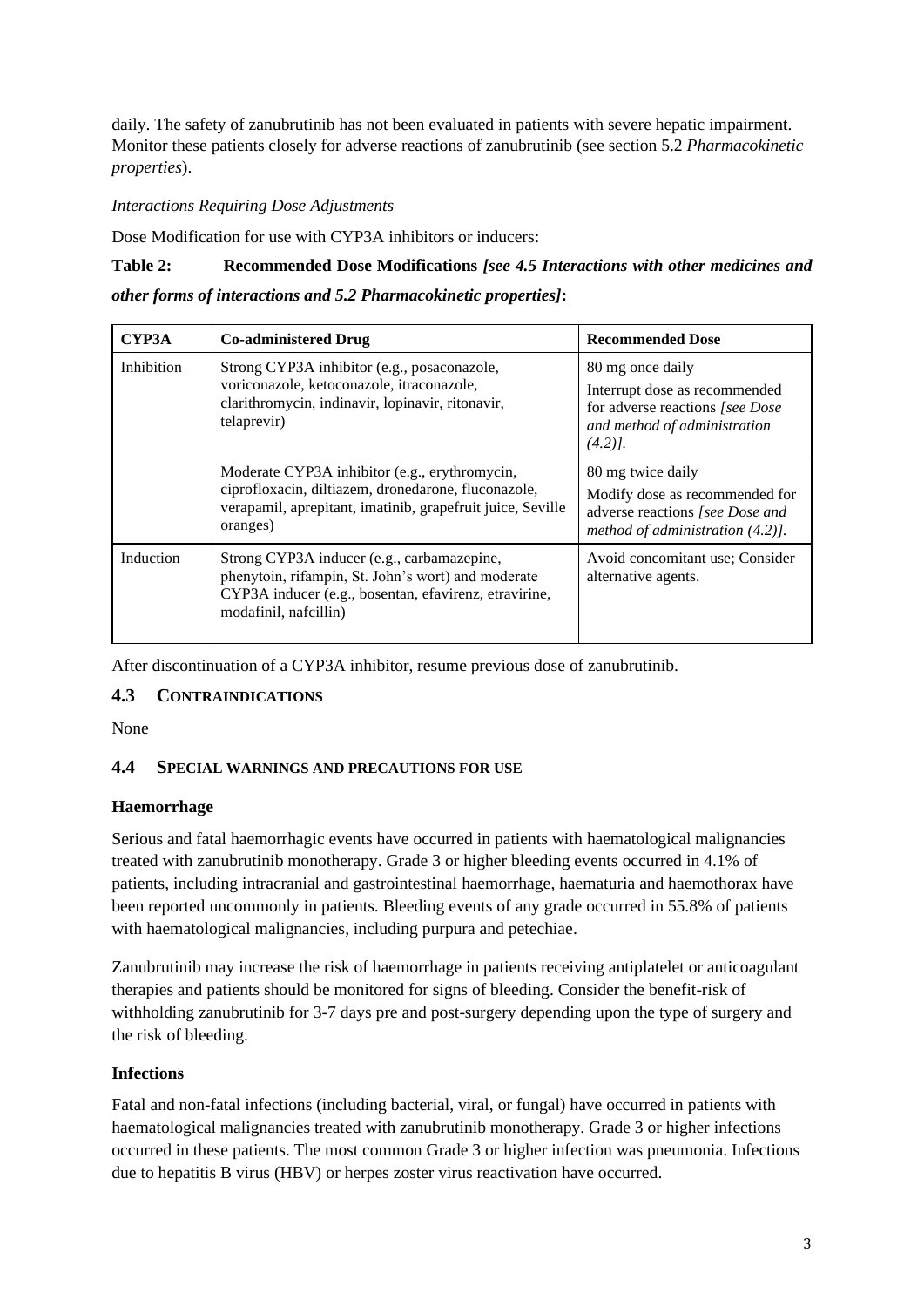daily. The safety of zanubrutinib has not been evaluated in patients with severe hepatic impairment. Monitor these patients closely for adverse reactions of zanubrutinib (see section 5.2 *Pharmacokinetic properties*).

#### *Interactions Requiring Dose Adjustments*

Dose Modification for use with CYP3A inhibitors or inducers:

## **Table 2: Recommended Dose Modifications** *[see 4.5 Interactions with other medicines and*

*other forms of interactions and 5.2 Pharmacokinetic properties]***:**

| CYP3A      | <b>Co-administered Drug</b>                                                                                                                                                        | <b>Recommended Dose</b>                                                                                                           |
|------------|------------------------------------------------------------------------------------------------------------------------------------------------------------------------------------|-----------------------------------------------------------------------------------------------------------------------------------|
| Inhibition | Strong CYP3A inhibitor (e.g., posaconazole,<br>voriconazole, ketoconazole, itraconazole,<br>clarithromycin, indinavir, lopinavir, ritonavir,<br>telaprevir)                        | 80 mg once daily<br>Interrupt dose as recommended<br>for adverse reactions [see Dose<br>and method of administration<br>$(4.2)$ . |
|            | Moderate CYP3A inhibitor (e.g., erythromycin,<br>ciprofloxacin, diltiazem, dronedarone, fluconazole,<br>verapamil, aprepitant, imatinib, grapefruit juice, Seville<br>oranges)     | 80 mg twice daily<br>Modify dose as recommended for<br>adverse reactions [see Dose and<br>method of administration $(4.2)$ ].     |
| Induction  | Strong CYP3A inducer (e.g., carbamazepine,<br>phenytoin, rifampin, St. John's wort) and moderate<br>CYP3A inducer (e.g., bosentan, efavirenz, etravirine,<br>modafinil, nafcillin) | Avoid concomitant use; Consider<br>alternative agents.                                                                            |

After discontinuation of a CYP3A inhibitor, resume previous dose of zanubrutinib.

## **4.3 CONTRAINDICATIONS**

None

## **4.4 SPECIAL WARNINGS AND PRECAUTIONS FOR USE**

## **Haemorrhage**

Serious and fatal haemorrhagic events have occurred in patients with haematological malignancies treated with zanubrutinib monotherapy. Grade 3 or higher bleeding events occurred in 4.1% of patients, including intracranial and gastrointestinal haemorrhage, haematuria and haemothorax have been reported uncommonly in patients. Bleeding events of any grade occurred in 55.8% of patients with haematological malignancies, including purpura and petechiae.

Zanubrutinib may increase the risk of haemorrhage in patients receiving antiplatelet or anticoagulant therapies and patients should be monitored for signs of bleeding. Consider the benefit-risk of withholding zanubrutinib for 3-7 days pre and post-surgery depending upon the type of surgery and the risk of bleeding.

## **Infections**

Fatal and non-fatal infections (including bacterial, viral, or fungal) have occurred in patients with haematological malignancies treated with zanubrutinib monotherapy. Grade 3 or higher infections occurred in these patients. The most common Grade 3 or higher infection was pneumonia. Infections due to hepatitis B virus (HBV) or herpes zoster virus reactivation have occurred.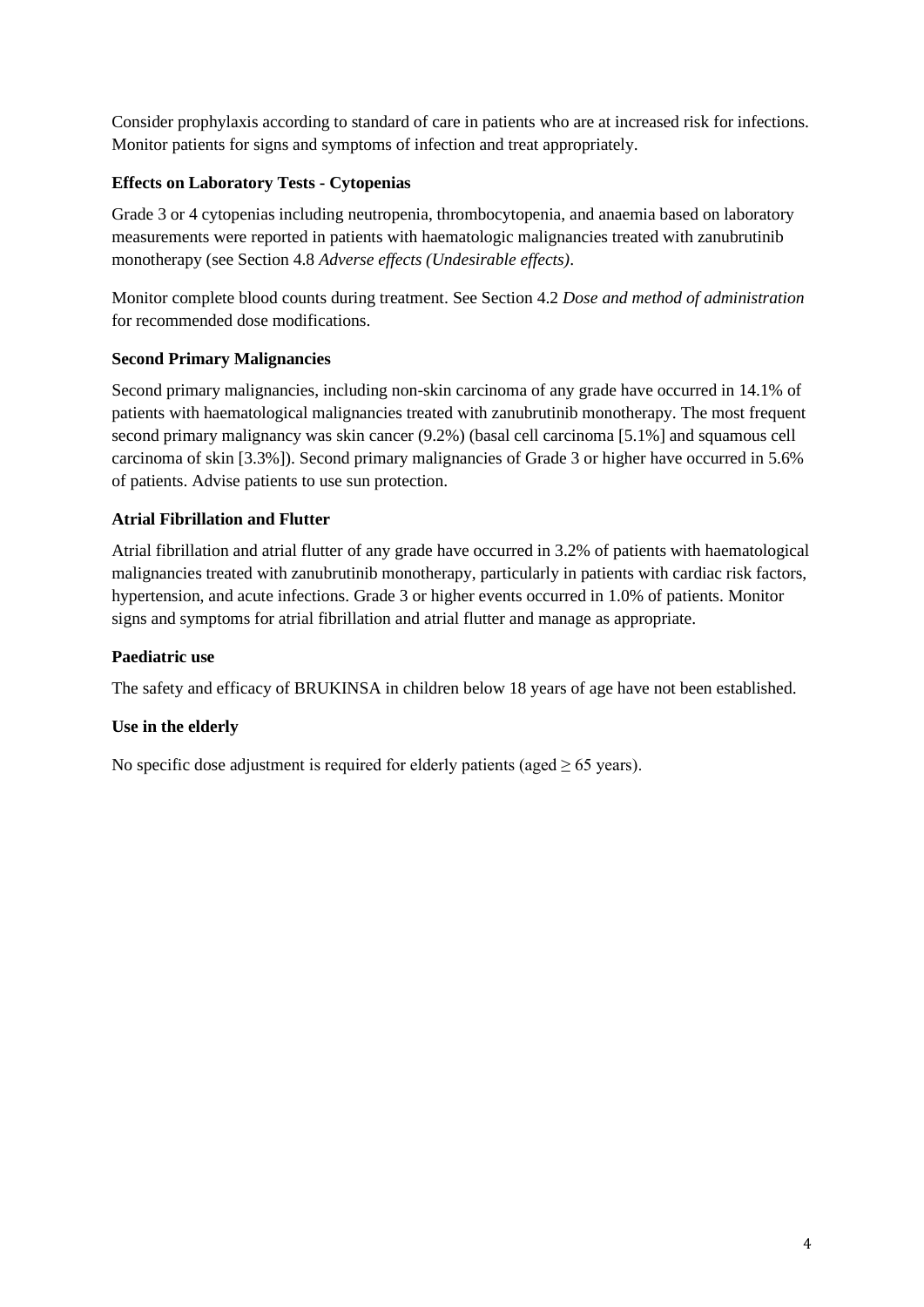Consider prophylaxis according to standard of care in patients who are at increased risk for infections. Monitor patients for signs and symptoms of infection and treat appropriately.

## **Effects on Laboratory Tests - Cytopenias**

Grade 3 or 4 cytopenias including neutropenia, thrombocytopenia, and anaemia based on laboratory measurements were reported in patients with haematologic malignancies treated with zanubrutinib monotherapy (see Section 4.8 *Adverse effects (Undesirable effects)*.

Monitor complete blood counts during treatment. See Section 4.2 *Dose and method of administration* for recommended dose modifications.

## **Second Primary Malignancies**

Second primary malignancies, including non-skin carcinoma of any grade have occurred in 14.1% of patients with haematological malignancies treated with zanubrutinib monotherapy. The most frequent second primary malignancy was skin cancer (9.2%) (basal cell carcinoma [5.1%] and squamous cell carcinoma of skin [3.3%]). Second primary malignancies of Grade 3 or higher have occurred in 5.6% of patients. Advise patients to use sun protection.

## **Atrial Fibrillation and Flutter**

Atrial fibrillation and atrial flutter of any grade have occurred in 3.2% of patients with haematological malignancies treated with zanubrutinib monotherapy, particularly in patients with cardiac risk factors, hypertension, and acute infections. Grade 3 or higher events occurred in 1.0% of patients. Monitor signs and symptoms for atrial fibrillation and atrial flutter and manage as appropriate.

## **Paediatric use**

The safety and efficacy of BRUKINSA in children below 18 years of age have not been established.

## **Use in the elderly**

No specific dose adjustment is required for elderly patients (aged  $\geq 65$  years).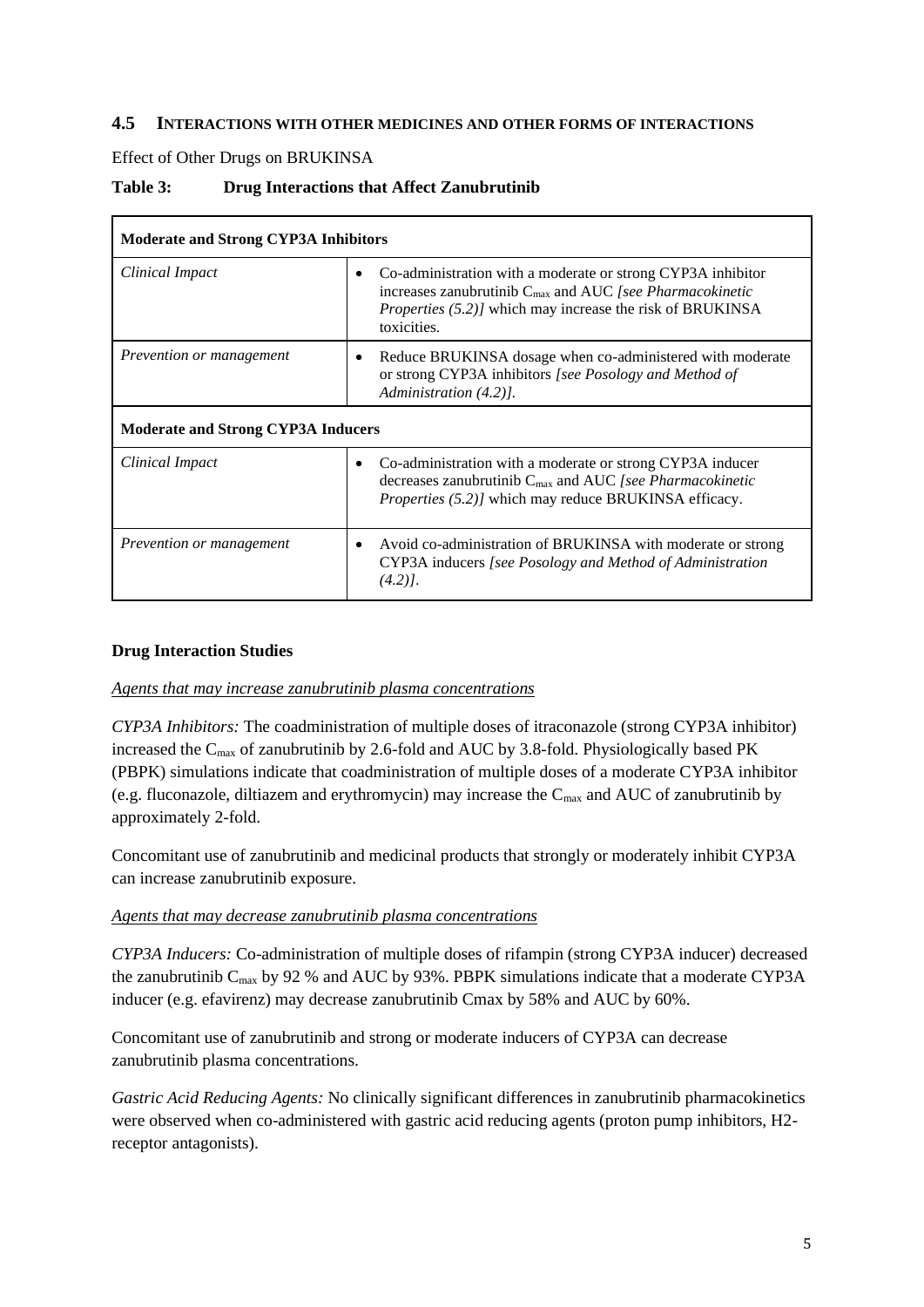### **4.5 INTERACTIONS WITH OTHER MEDICINES AND OTHER FORMS OF INTERACTIONS**

Effect of Other Drugs on BRUKINSA

## **Table 3: Drug Interactions that Affect Zanubrutinib**

| <b>Moderate and Strong CYP3A Inhibitors</b> |                                                                                                                                                                                                                                     |  |
|---------------------------------------------|-------------------------------------------------------------------------------------------------------------------------------------------------------------------------------------------------------------------------------------|--|
| Clinical Impact                             | Co-administration with a moderate or strong CYP3A inhibitor<br>$\bullet$<br>increases zanubrutinib $C_{\text{max}}$ and AUC [see Pharmacokinetic<br><i>Properties (5.2)]</i> which may increase the risk of BRUKINSA<br>toxicities. |  |
| Prevention or management                    | Reduce BRUKINSA dosage when co-administered with moderate<br>٠<br>or strong CYP3A inhibitors [see Posology and Method of<br>Administration (4.2).                                                                                   |  |
| <b>Moderate and Strong CYP3A Inducers</b>   |                                                                                                                                                                                                                                     |  |
| Clinical Impact                             | Co-administration with a moderate or strong CYP3A inducer<br>decreases zanubrutinib $C_{\text{max}}$ and AUC [see Pharmacokinetic<br><i>Properties (5.2)]</i> which may reduce BRUKINSA efficacy.                                   |  |
| Prevention or management                    | Avoid co-administration of BRUKINSA with moderate or strong<br>٠<br>CYP3A inducers [see Posology and Method of Administration<br>$(4.2)$ .                                                                                          |  |

#### **Drug Interaction Studies**

#### *Agents that may increase zanubrutinib plasma concentrations*

*CYP3A Inhibitors:* The coadministration of multiple doses of itraconazole (strong CYP3A inhibitor) increased the Cmax of zanubrutinib by 2.6-fold and AUC by 3.8-fold. Physiologically based PK (PBPK) simulations indicate that coadministration of multiple doses of a moderate CYP3A inhibitor (e.g. fluconazole, diltiazem and erythromycin) may increase the  $C_{\text{max}}$  and AUC of zanubrutinib by approximately 2-fold.

Concomitant use of zanubrutinib and medicinal products that strongly or moderately inhibit CYP3A can increase zanubrutinib exposure.

#### *Agents that may decrease zanubrutinib plasma concentrations*

*CYP3A Inducers:* Co-administration of multiple doses of rifampin (strong CYP3A inducer) decreased the zanubrutinib  $C_{\text{max}}$  by 92 % and AUC by 93%. PBPK simulations indicate that a moderate CYP3A inducer (e.g. efavirenz) may decrease zanubrutinib Cmax by 58% and AUC by 60%.

Concomitant use of zanubrutinib and strong or moderate inducers of CYP3A can decrease zanubrutinib plasma concentrations.

*Gastric Acid Reducing Agents:* No clinically significant differences in zanubrutinib pharmacokinetics were observed when co-administered with gastric acid reducing agents (proton pump inhibitors, H2 receptor antagonists).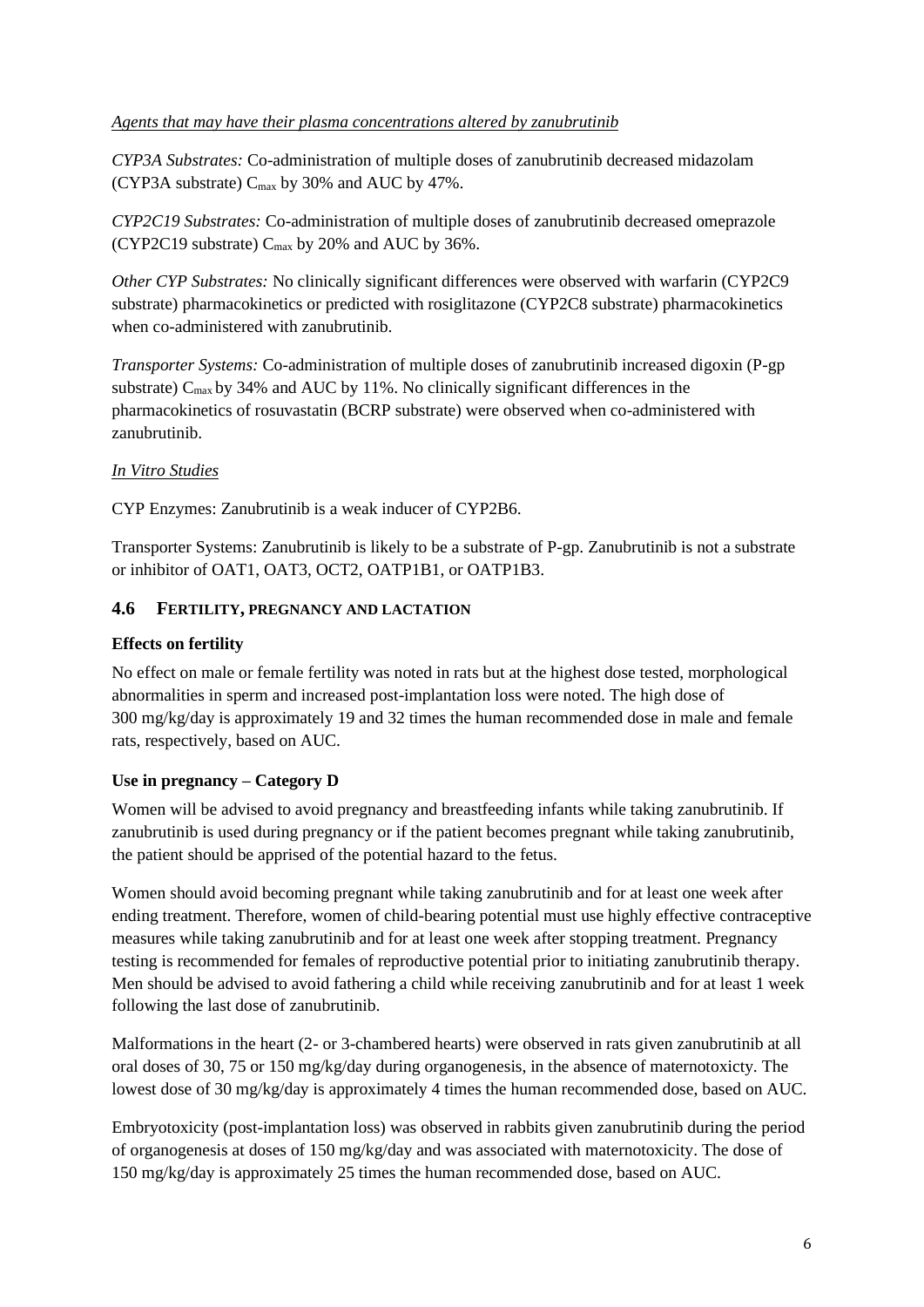## *Agents that may have their plasma concentrations altered by zanubrutinib*

*CYP3A Substrates:* Co-administration of multiple doses of zanubrutinib decreased midazolam (CYP3A substrate)  $C_{\text{max}}$  by 30% and AUC by 47%.

*CYP2C19 Substrates:* Co-administration of multiple doses of zanubrutinib decreased omeprazole (CYP2C19 substrate)  $C_{\text{max}}$  by 20% and AUC by 36%.

*Other CYP Substrates:* No clinically significant differences were observed with warfarin (CYP2C9 substrate) pharmacokinetics or predicted with rosiglitazone (CYP2C8 substrate) pharmacokinetics when co-administered with zanubrutinib.

*Transporter Systems:* Co-administration of multiple doses of zanubrutinib increased digoxin (P-gp substrate)  $C_{\text{max}}$  by 34% and AUC by 11%. No clinically significant differences in the pharmacokinetics of rosuvastatin (BCRP substrate) were observed when co-administered with zanubrutinib.

## *In Vitro Studies*

CYP Enzymes: Zanubrutinib is a weak inducer of CYP2B6.

Transporter Systems: Zanubrutinib is likely to be a substrate of P-gp. Zanubrutinib is not a substrate or inhibitor of OAT1, OAT3, OCT2, OATP1B1, or OATP1B3.

## **4.6 FERTILITY, PREGNANCY AND LACTATION**

### **Effects on fertility**

No effect on male or female fertility was noted in rats but at the highest dose tested, morphological abnormalities in sperm and increased post-implantation loss were noted. The high dose of 300 mg/kg/day is approximately 19 and 32 times the human recommended dose in male and female rats, respectively, based on AUC.

## **Use in pregnancy – Category D**

Women will be advised to avoid pregnancy and breastfeeding infants while taking zanubrutinib. If zanubrutinib is used during pregnancy or if the patient becomes pregnant while taking zanubrutinib, the patient should be apprised of the potential hazard to the fetus.

Women should avoid becoming pregnant while taking zanubrutinib and for at least one week after ending treatment. Therefore, women of child-bearing potential must use highly effective contraceptive measures while taking zanubrutinib and for at least one week after stopping treatment. Pregnancy testing is recommended for females of reproductive potential prior to initiating zanubrutinib therapy. Men should be advised to avoid fathering a child while receiving zanubrutinib and for at least 1 week following the last dose of zanubrutinib.

Malformations in the heart (2- or 3-chambered hearts) were observed in rats given zanubrutinib at all oral doses of 30, 75 or 150 mg/kg/day during organogenesis, in the absence of maternotoxicty. The lowest dose of 30 mg/kg/day is approximately 4 times the human recommended dose, based on AUC.

Embryotoxicity (post-implantation loss) was observed in rabbits given zanubrutinib during the period of organogenesis at doses of 150 mg/kg/day and was associated with maternotoxicity. The dose of 150 mg/kg/day is approximately 25 times the human recommended dose, based on AUC.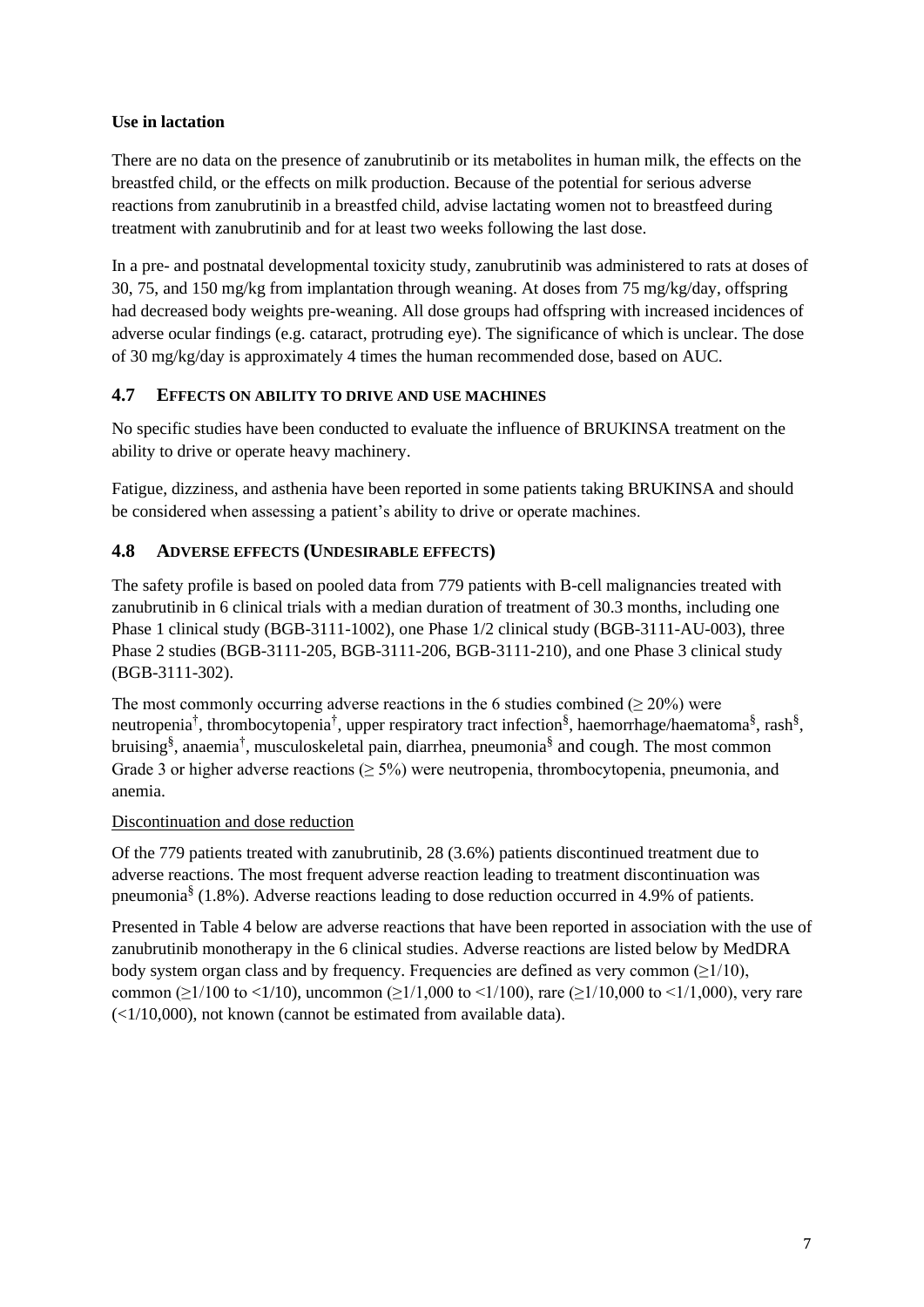## **Use in lactation**

There are no data on the presence of zanubrutinib or its metabolites in human milk, the effects on the breastfed child, or the effects on milk production. Because of the potential for serious adverse reactions from zanubrutinib in a breastfed child, advise lactating women not to breastfeed during treatment with zanubrutinib and for at least two weeks following the last dose.

In a pre- and postnatal developmental toxicity study, zanubrutinib was administered to rats at doses of 30, 75, and 150 mg/kg from implantation through weaning. At doses from 75 mg/kg/day, offspring had decreased body weights pre-weaning. All dose groups had offspring with increased incidences of adverse ocular findings (e.g. cataract, protruding eye). The significance of which is unclear. The dose of 30 mg/kg/day is approximately 4 times the human recommended dose, based on AUC.

## **4.7 EFFECTS ON ABILITY TO DRIVE AND USE MACHINES**

No specific studies have been conducted to evaluate the influence of BRUKINSA treatment on the ability to drive or operate heavy machinery.

Fatigue, dizziness, and asthenia have been reported in some patients taking BRUKINSA and should be considered when assessing a patient's ability to drive or operate machines.

## **4.8 ADVERSE EFFECTS (UNDESIRABLE EFFECTS)**

The safety profile is based on pooled data from 779 patients with B-cell malignancies treated with zanubrutinib in 6 clinical trials with a median duration of treatment of 30.3 months, including one Phase 1 clinical study (BGB-3111-1002), one Phase 1/2 clinical study (BGB-3111-AU-003), three Phase 2 studies (BGB-3111-205, BGB-3111-206, BGB-3111-210), and one Phase 3 clinical study (BGB-3111-302).

The most commonly occurring adverse reactions in the 6 studies combined ( $\geq$  20%) were neutropenia<sup>†</sup>, thrombocytopenia<sup>†</sup>, upper respiratory tract infection<sup>§</sup>, haemorrhage/haematoma<sup>§</sup>, rash<sup>§</sup>, bruising<sup>§</sup>, anaemia<sup>†</sup>, musculoskeletal pain, diarrhea, pneumonia<sup>§</sup> and cough. The most common Grade 3 or higher adverse reactions ( $\geq$  5%) were neutropenia, thrombocytopenia, pneumonia, and anemia.

## Discontinuation and dose reduction

Of the 779 patients treated with zanubrutinib, 28 (3.6%) patients discontinued treatment due to adverse reactions. The most frequent adverse reaction leading to treatment discontinuation was pneumonia<sup>§</sup> (1.8%). Adverse reactions leading to dose reduction occurred in 4.9% of patients.

Presented in Table 4 below are adverse reactions that have been reported in association with the use of zanubrutinib monotherapy in the 6 clinical studies. Adverse reactions are listed below by MedDRA body system organ class and by frequency. Frequencies are defined as very common  $(≥1/10)$ , common ( $\geq$ 1/100 to <1/10), uncommon ( $\geq$ 1/1,000 to <1/100), rare ( $\geq$ 1/10,000 to <1/1,000), very rare  $\left( \frac{1}{10,000} \right)$ , not known (cannot be estimated from available data).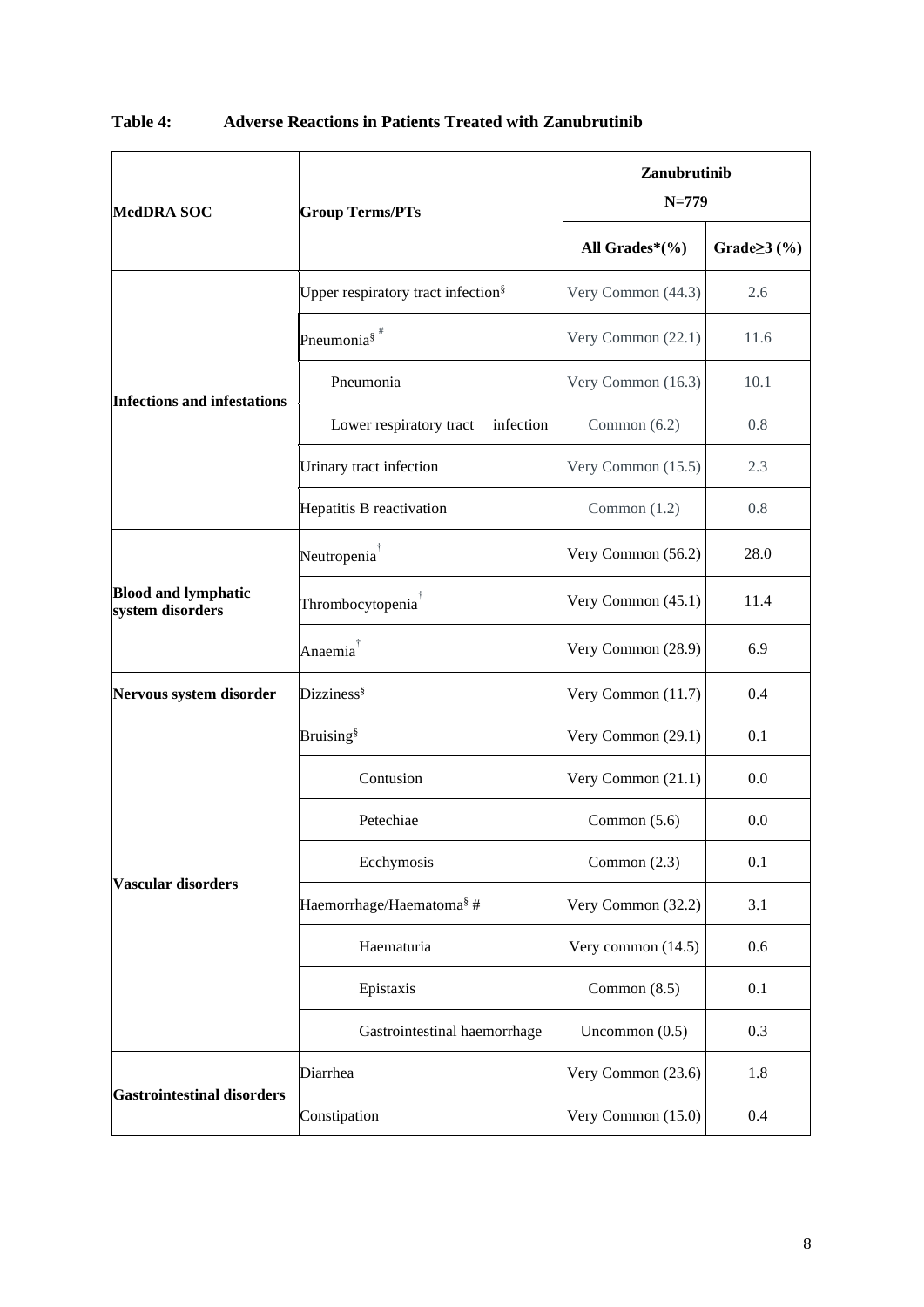| <b>MedDRA SOC</b>                              | <b>Group Terms/PTs</b>                         | Zanubrutinib<br>$N = 779$ |                    |
|------------------------------------------------|------------------------------------------------|---------------------------|--------------------|
|                                                |                                                | All Grades* $(\%)$        | Grade $\geq$ 3 (%) |
|                                                | Upper respiratory tract infection <sup>§</sup> | Very Common (44.3)        | 2.6                |
|                                                | Pneumonia $\frac{1}{3}$ #                      | Very Common (22.1)        | 11.6               |
| <b>Infections and infestations</b>             | Pneumonia                                      | Very Common (16.3)        | 10.1               |
|                                                | infection<br>Lower respiratory tract           | Common $(6.2)$            | 0.8                |
|                                                | Urinary tract infection                        | Very Common (15.5)        | 2.3                |
|                                                | Hepatitis B reactivation                       | Common $(1.2)$            | 0.8                |
|                                                | Neutropenia <sup>†</sup>                       | Very Common (56.2)        | 28.0               |
| <b>Blood and lymphatic</b><br>system disorders | Thrombocytopenia <sup>†</sup>                  | Very Common (45.1)        | 11.4               |
|                                                | Anaemia <sup>†</sup>                           | Very Common (28.9)        | 6.9                |
| Nervous system disorder                        | Dizziness <sup>§</sup>                         | Very Common (11.7)        | 0.4                |
|                                                | <b>Bruising</b> <sup>§</sup>                   | Very Common (29.1)        | 0.1                |
|                                                | Contusion                                      | Very Common (21.1)        | 0.0                |
|                                                | Petechiae                                      | Common $(5.6)$            | 0.0                |
| Vascular disorders                             | Ecchymosis                                     | Common $(2.3)$            | 0.1                |
|                                                | Haemorrhage/Haematoma <sup>§</sup> #           | Very Common (32.2)        | 3.1                |
|                                                | Haematuria                                     | Very common (14.5)        | 0.6                |
|                                                | Epistaxis                                      | Common $(8.5)$            | 0.1                |
|                                                | Gastrointestinal haemorrhage                   | Uncommon $(0.5)$          | 0.3                |
| <b>Gastrointestinal disorders</b>              | Diarrhea                                       | Very Common (23.6)        | 1.8                |
|                                                | Constipation                                   | Very Common (15.0)        | 0.4                |

# **Table 4: Adverse Reactions in Patients Treated with Zanubrutinib**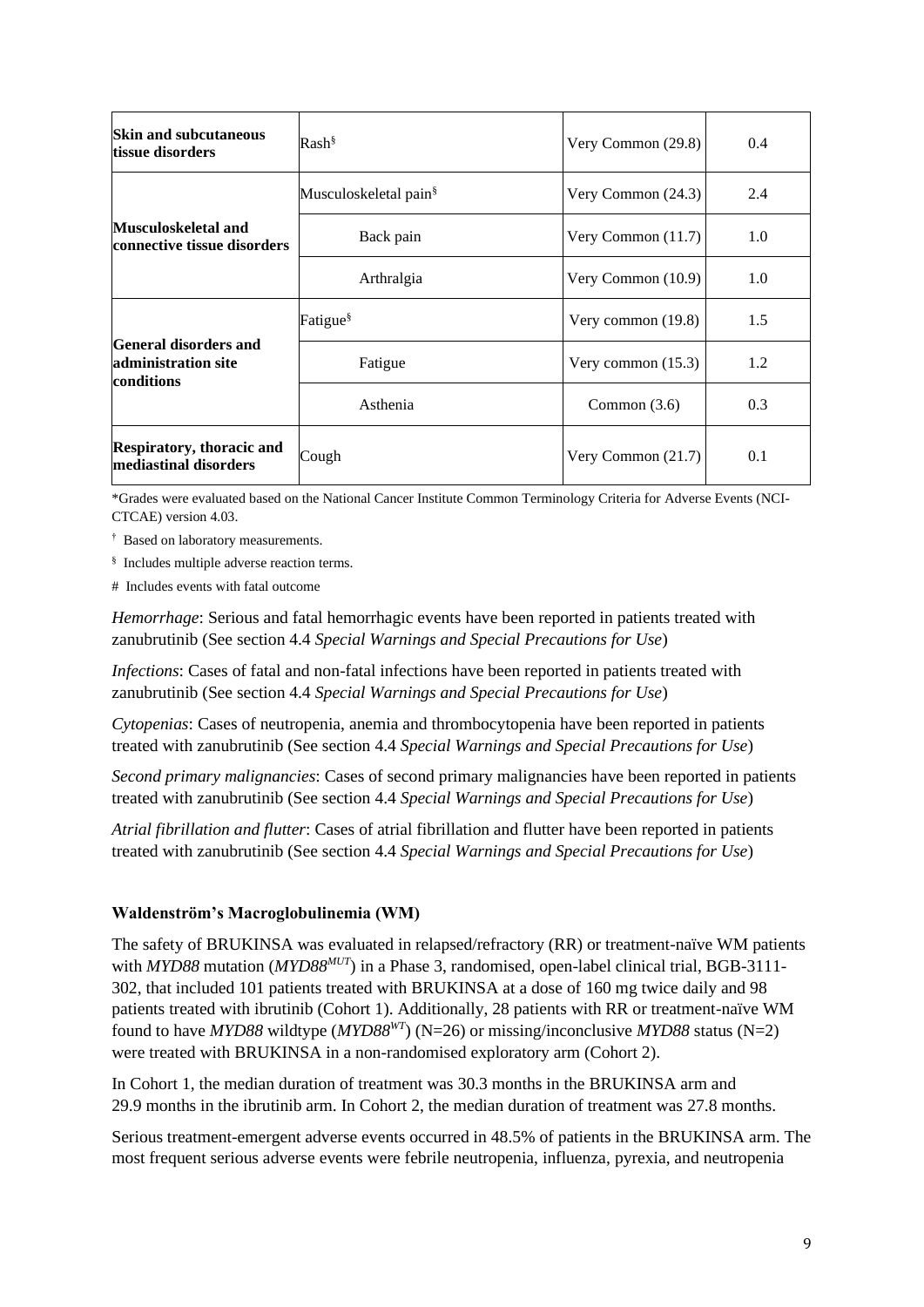| <b>Skin and subcutaneous</b><br>tissue disorders           | $Rash^{\S}$                       | Very Common $(29.8)$ | 0.4 |
|------------------------------------------------------------|-----------------------------------|----------------------|-----|
|                                                            | Musculoskeletal pain <sup>§</sup> | Very Common $(24.3)$ | 2.4 |
| Musculoskeletal and<br>connective tissue disorders         | Back pain                         | Very Common $(11.7)$ | 1.0 |
|                                                            | Arthralgia                        | Very Common $(10.9)$ | 1.0 |
|                                                            | Fatigue <sup>§</sup>              | Very common $(19.8)$ | 1.5 |
| General disorders and<br>administration site<br>conditions | Fatigue                           | Very common $(15.3)$ | 1.2 |
|                                                            | Asthenia                          | Common $(3.6)$       | 0.3 |
| <b>Respiratory, thoracic and</b><br>mediastinal disorders  | Cough                             | Very Common $(21.7)$ | 0.1 |

\*Grades were evaluated based on the National Cancer Institute Common Terminology Criteria for Adverse Events (NCI-CTCAE) version 4.03.

- † Based on laboratory measurements.
- § Includes multiple adverse reaction terms.
- # Includes events with fatal outcome

*Hemorrhage*: Serious and fatal hemorrhagic events have been reported in patients treated with zanubrutinib (See section 4.4 *Special Warnings and Special Precautions for Use*)

*Infections*: Cases of fatal and non-fatal infections have been reported in patients treated with zanubrutinib (See section 4.4 *Special Warnings and Special Precautions for Use*)

*Cytopenias*: Cases of neutropenia, anemia and thrombocytopenia have been reported in patients treated with zanubrutinib (See section 4.4 *Special Warnings and Special Precautions for Use*)

*Second primary malignancies*: Cases of second primary malignancies have been reported in patients treated with zanubrutinib (See section 4.4 *Special Warnings and Special Precautions for Use*)

*Atrial fibrillation and flutter*: Cases of atrial fibrillation and flutter have been reported in patients treated with zanubrutinib (See section 4.4 *Special Warnings and Special Precautions for Use*)

#### **Waldenström's Macroglobulinemia (WM)**

The safety of BRUKINSA was evaluated in relapsed/refractory (RR) or treatment-naïve WM patients with *MYD88* mutation (*MYD88<sup>MUT</sup>*) in a Phase 3, randomised, open-label clinical trial, BGB-3111-302, that included 101 patients treated with BRUKINSA at a dose of 160 mg twice daily and 98 patients treated with ibrutinib (Cohort 1). Additionally, 28 patients with RR or treatment-naïve WM found to have *MYD88* wildtype (*MYD88WT*) (N=26) or missing/inconclusive *MYD88* status (N=2) were treated with BRUKINSA in a non-randomised exploratory arm (Cohort 2).

In Cohort 1, the median duration of treatment was 30.3 months in the BRUKINSA arm and 29.9 months in the ibrutinib arm. In Cohort 2, the median duration of treatment was 27.8 months.

Serious treatment-emergent adverse events occurred in 48.5% of patients in the BRUKINSA arm. The most frequent serious adverse events were febrile neutropenia, influenza, pyrexia, and neutropenia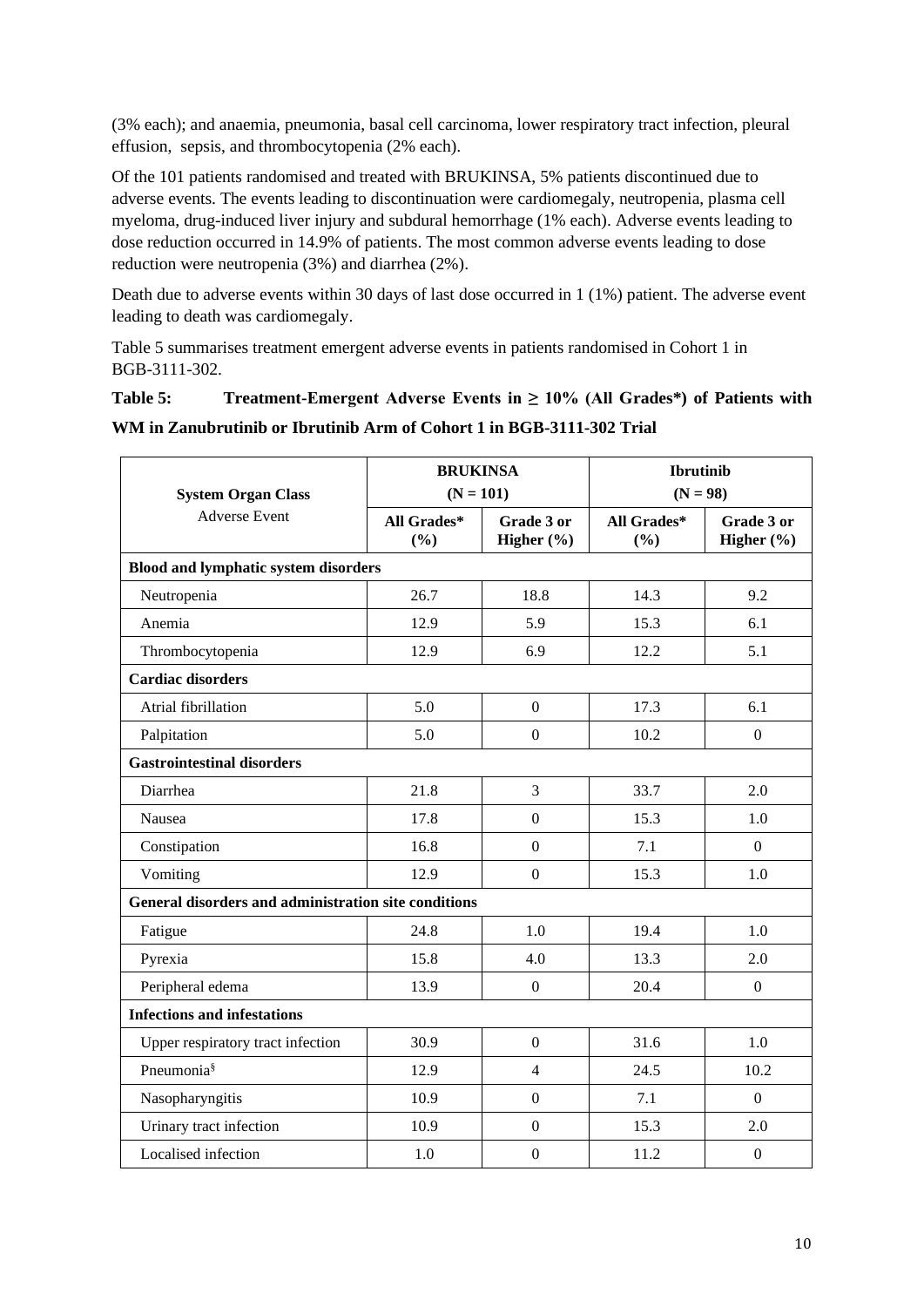(3% each); and anaemia, pneumonia, basal cell carcinoma, lower respiratory tract infection, pleural effusion, sepsis, and thrombocytopenia (2% each).

Of the 101 patients randomised and treated with BRUKINSA, 5% patients discontinued due to adverse events. The events leading to discontinuation were cardiomegaly, neutropenia, plasma cell myeloma, drug-induced liver injury and subdural hemorrhage (1% each). Adverse events leading to dose reduction occurred in 14.9% of patients. The most common adverse events leading to dose reduction were neutropenia (3%) and diarrhea (2%).

Death due to adverse events within 30 days of last dose occurred in 1 (1%) patient. The adverse event leading to death was cardiomegaly.

Table 5 summarises treatment emergent adverse events in patients randomised in Cohort 1 in BGB-3111-302.

## **Table 5: Treatment-Emergent Adverse Events in ≥ 10% (All Grades\*) of Patients with**

**WM in Zanubrutinib or Ibrutinib Arm of Cohort 1 in BGB-3111-302 Trial**

| <b>System Organ Class</b>                            | <b>BRUKINSA</b><br>$(N = 101)$ |                          | <b>Ibrutinib</b><br>$(N = 98)$ |                          |
|------------------------------------------------------|--------------------------------|--------------------------|--------------------------------|--------------------------|
| <b>Adverse Event</b>                                 | All Grades*<br>(%)             | Grade 3 or<br>Higher (%) | All Grades*<br>(%)             | Grade 3 or<br>Higher (%) |
| <b>Blood and lymphatic system disorders</b>          |                                |                          |                                |                          |
| Neutropenia                                          | 26.7                           | 18.8                     | 14.3                           | 9.2                      |
| Anemia                                               | 12.9                           | 5.9                      | 15.3                           | 6.1                      |
| Thrombocytopenia                                     | 12.9                           | 6.9                      | 12.2                           | 5.1                      |
| <b>Cardiac disorders</b>                             |                                |                          |                                |                          |
| Atrial fibrillation                                  | 5.0                            | $\boldsymbol{0}$         | 17.3                           | 6.1                      |
| Palpitation                                          | 5.0                            | $\boldsymbol{0}$         | 10.2                           | $\boldsymbol{0}$         |
| <b>Gastrointestinal disorders</b>                    |                                |                          |                                |                          |
| Diarrhea                                             | 21.8                           | $\overline{3}$           | 33.7                           | 2.0                      |
| Nausea                                               | 17.8                           | $\boldsymbol{0}$         | 15.3                           | 1.0                      |
| Constipation                                         | 16.8                           | $\overline{0}$           | 7.1                            | $\overline{0}$           |
| Vomiting                                             | 12.9                           | $\overline{0}$           | 15.3                           | 1.0                      |
| General disorders and administration site conditions |                                |                          |                                |                          |
| Fatigue                                              | 24.8                           | 1.0                      | 19.4                           | 1.0                      |
| Pyrexia                                              | 15.8                           | 4.0                      | 13.3                           | 2.0                      |
| Peripheral edema                                     | 13.9                           | $\boldsymbol{0}$         | 20.4                           | $\boldsymbol{0}$         |
| <b>Infections and infestations</b>                   |                                |                          |                                |                          |
| Upper respiratory tract infection                    | 30.9                           | $\overline{0}$           | 31.6                           | 1.0                      |
| Pneumonia <sup>§</sup>                               | 12.9                           | $\overline{4}$           | 24.5                           | 10.2                     |
| Nasopharyngitis                                      | 10.9                           | $\overline{0}$           | 7.1                            | $\theta$                 |
| Urinary tract infection                              | 10.9                           | $\overline{0}$           | 15.3                           | 2.0                      |
| Localised infection                                  | 1.0                            | $\mathbf{0}$             | 11.2                           | $\boldsymbol{0}$         |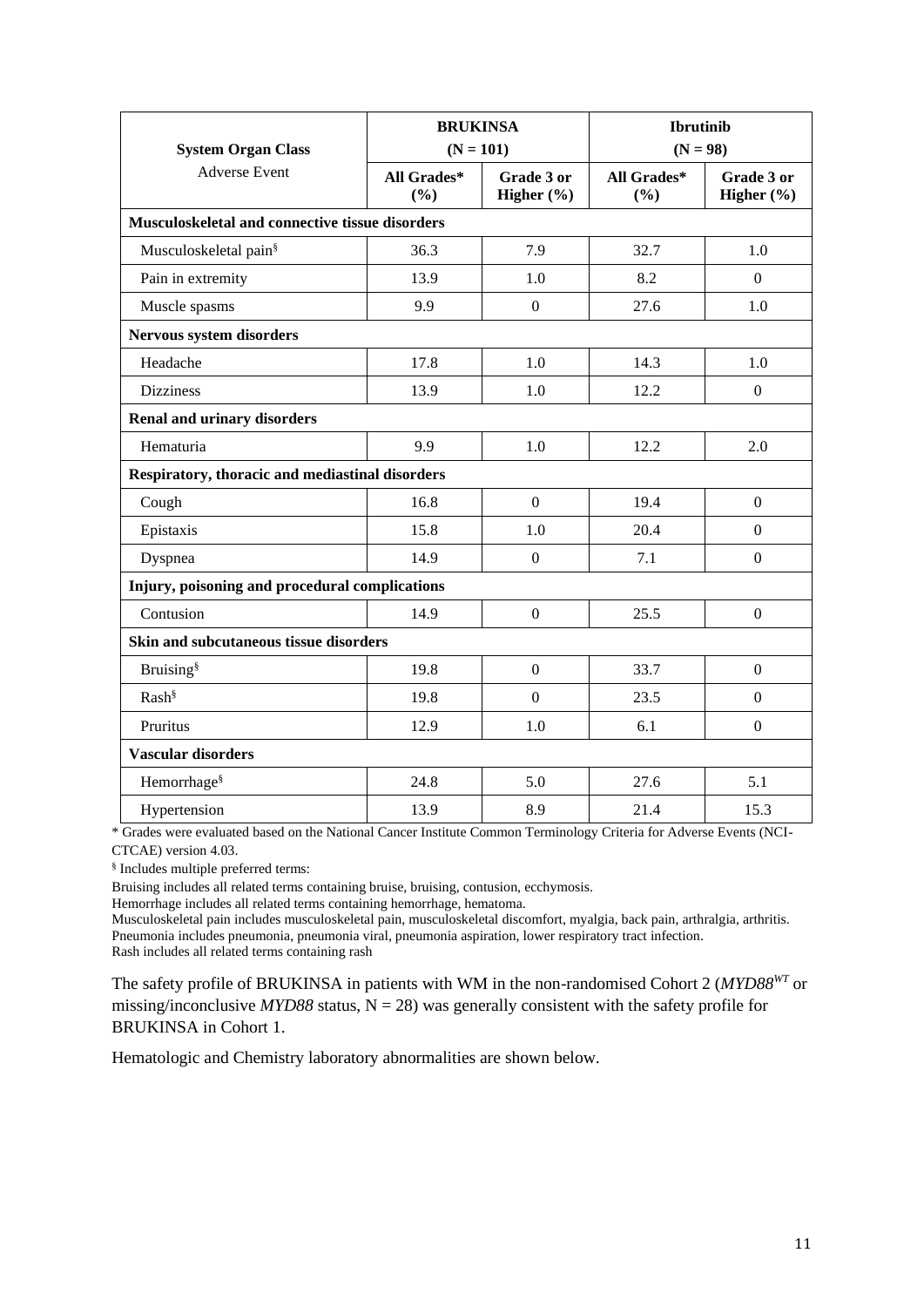| <b>System Organ Class</b>                       | <b>BRUKINSA</b><br>$(N = 101)$ |                              | <b>Ibrutinib</b><br>$(N = 98)$ |                              |
|-------------------------------------------------|--------------------------------|------------------------------|--------------------------------|------------------------------|
| <b>Adverse Event</b>                            | All Grades*<br>(%)             | Grade 3 or<br>Higher $(\% )$ | All Grades*<br>(%)             | Grade 3 or<br>Higher $(\% )$ |
| Musculoskeletal and connective tissue disorders |                                |                              |                                |                              |
| Musculoskeletal pain <sup>§</sup>               | 36.3                           | 7.9                          | 32.7                           | 1.0                          |
| Pain in extremity                               | 13.9                           | 1.0                          | 8.2                            | $\mathbf{0}$                 |
| Muscle spasms                                   | 9.9                            | $\boldsymbol{0}$             | 27.6                           | 1.0                          |
| Nervous system disorders                        |                                |                              |                                |                              |
| Headache                                        | 17.8                           | 1.0                          | 14.3                           | 1.0                          |
| <b>Dizziness</b>                                | 13.9                           | 1.0                          | 12.2                           | $\overline{0}$               |
| <b>Renal and urinary disorders</b>              |                                |                              |                                |                              |
| Hematuria                                       | 9.9                            | 1.0                          | 12.2                           | 2.0                          |
| Respiratory, thoracic and mediastinal disorders |                                |                              |                                |                              |
| Cough                                           | 16.8                           | $\boldsymbol{0}$             | 19.4                           | $\theta$                     |
| Epistaxis                                       | 15.8                           | 1.0                          | 20.4                           | $\Omega$                     |
| Dyspnea                                         | 14.9                           | $\mathbf{0}$                 | 7.1                            | $\mathbf{0}$                 |
| Injury, poisoning and procedural complications  |                                |                              |                                |                              |
| Contusion                                       | 14.9                           | $\overline{0}$               | 25.5                           | $\boldsymbol{0}$             |
| Skin and subcutaneous tissue disorders          |                                |                              |                                |                              |
| <b>Bruising</b> <sup>§</sup>                    | 19.8                           | $\overline{0}$               | 33.7                           | $\theta$                     |
| Rash <sup>§</sup>                               | 19.8                           | $\mathbf{0}$                 | 23.5                           | $\theta$                     |
| Pruritus                                        | 12.9                           | 1.0                          | 6.1                            | $\mathbf{0}$                 |
| <b>Vascular disorders</b>                       |                                |                              |                                |                              |
| Hemorrhage <sup>§</sup>                         | 24.8                           | 5.0                          | 27.6                           | 5.1                          |
| Hypertension                                    | 13.9                           | 8.9                          | 21.4                           | 15.3                         |

\* Grades were evaluated based on the National Cancer Institute Common Terminology Criteria for Adverse Events (NCI-CTCAE) version 4.03.

§ Includes multiple preferred terms:

Bruising includes all related terms containing bruise, bruising, contusion, ecchymosis.

Hemorrhage includes all related terms containing hemorrhage, hematoma.

Musculoskeletal pain includes musculoskeletal pain, musculoskeletal discomfort, myalgia, back pain, arthralgia, arthritis. Pneumonia includes pneumonia, pneumonia viral, pneumonia aspiration, lower respiratory tract infection. Rash includes all related terms containing rash

The safety profile of BRUKINSA in patients with WM in the non-randomised Cohort 2 (*MYD88WT* or missing/inconclusive  $MYD88$  status,  $N = 28$ ) was generally consistent with the safety profile for BRUKINSA in Cohort 1.

Hematologic and Chemistry laboratory abnormalities are shown below.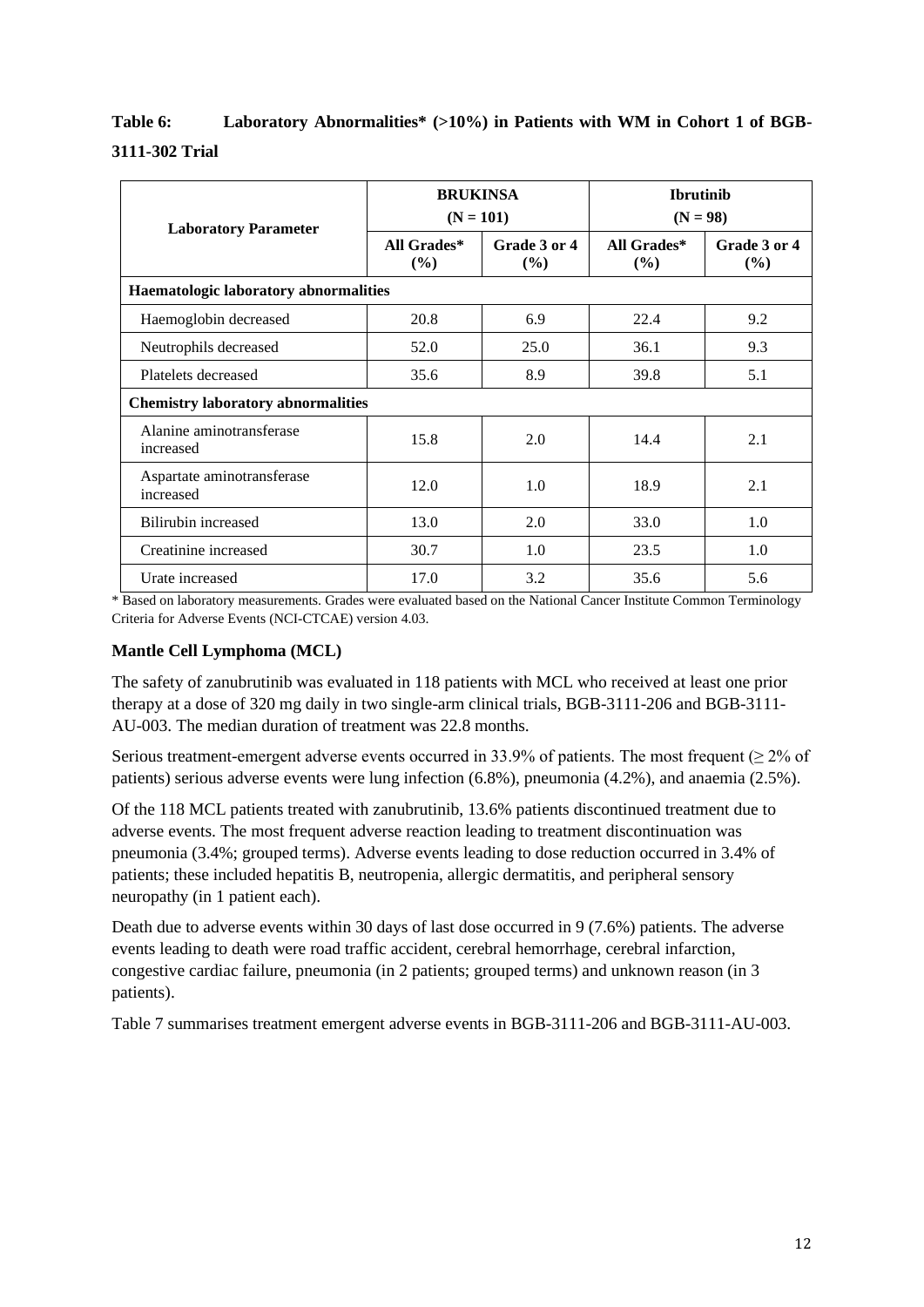# **Table 6: Laboratory Abnormalities\* (>10%) in Patients with WM in Cohort 1 of BGB-3111-302 Trial**

| <b>Laboratory Parameter</b>               | <b>BRUKINSA</b><br>$(N = 101)$ |                        | <b>Ibrutinib</b><br>$(N = 98)$ |                        |
|-------------------------------------------|--------------------------------|------------------------|--------------------------------|------------------------|
|                                           | All Grades*<br>(%)             | Grade 3 or 4<br>$(\%)$ | All Grades*<br>$($ %)          | Grade 3 or 4<br>$(\%)$ |
| Haematologic laboratory abnormalities     |                                |                        |                                |                        |
| Haemoglobin decreased                     | 20.8                           | 6.9                    | 22.4                           | 9.2                    |
| Neutrophils decreased                     | 52.0                           | 25.0                   | 36.1                           | 9.3                    |
| Platelets decreased                       | 35.6                           | 8.9                    | 39.8                           | 5.1                    |
| <b>Chemistry laboratory abnormalities</b> |                                |                        |                                |                        |
| Alanine aminotransferase<br>increased     | 15.8                           | 2.0                    | 14.4                           | 2.1                    |
| Aspartate aminotransferase<br>increased   | 12.0                           | 1.0                    | 18.9                           | 2.1                    |
| Bilirubin increased                       | 13.0                           | 2.0                    | 33.0                           | 1.0                    |
| Creatinine increased                      | 30.7                           | 1.0                    | 23.5                           | 1.0                    |
| Urate increased                           | 17.0                           | 3.2                    | 35.6                           | 5.6                    |

\* Based on laboratory measurements. Grades were evaluated based on the National Cancer Institute Common Terminology Criteria for Adverse Events (NCI-CTCAE) version 4.03.

## **Mantle Cell Lymphoma (MCL)**

The safety of zanubrutinib was evaluated in 118 patients with MCL who received at least one prior therapy at a dose of 320 mg daily in two single-arm clinical trials, BGB-3111-206 and BGB-3111- AU-003. The median duration of treatment was 22.8 months.

Serious treatment-emergent adverse events occurred in 33.9% of patients. The most frequent ( $\geq$  2% of patients) serious adverse events were lung infection (6.8%), pneumonia (4.2%), and anaemia (2.5%).

Of the 118 MCL patients treated with zanubrutinib, 13.6% patients discontinued treatment due to adverse events. The most frequent adverse reaction leading to treatment discontinuation was pneumonia (3.4%; grouped terms). Adverse events leading to dose reduction occurred in 3.4% of patients; these included hepatitis B, neutropenia, allergic dermatitis, and peripheral sensory neuropathy (in 1 patient each).

Death due to adverse events within 30 days of last dose occurred in 9 (7.6%) patients. The adverse events leading to death were road traffic accident, cerebral hemorrhage, cerebral infarction, congestive cardiac failure, pneumonia (in 2 patients; grouped terms) and unknown reason (in 3 patients).

Table 7 summarises treatment emergent adverse events in BGB-3111-206 and BGB-3111-AU-003.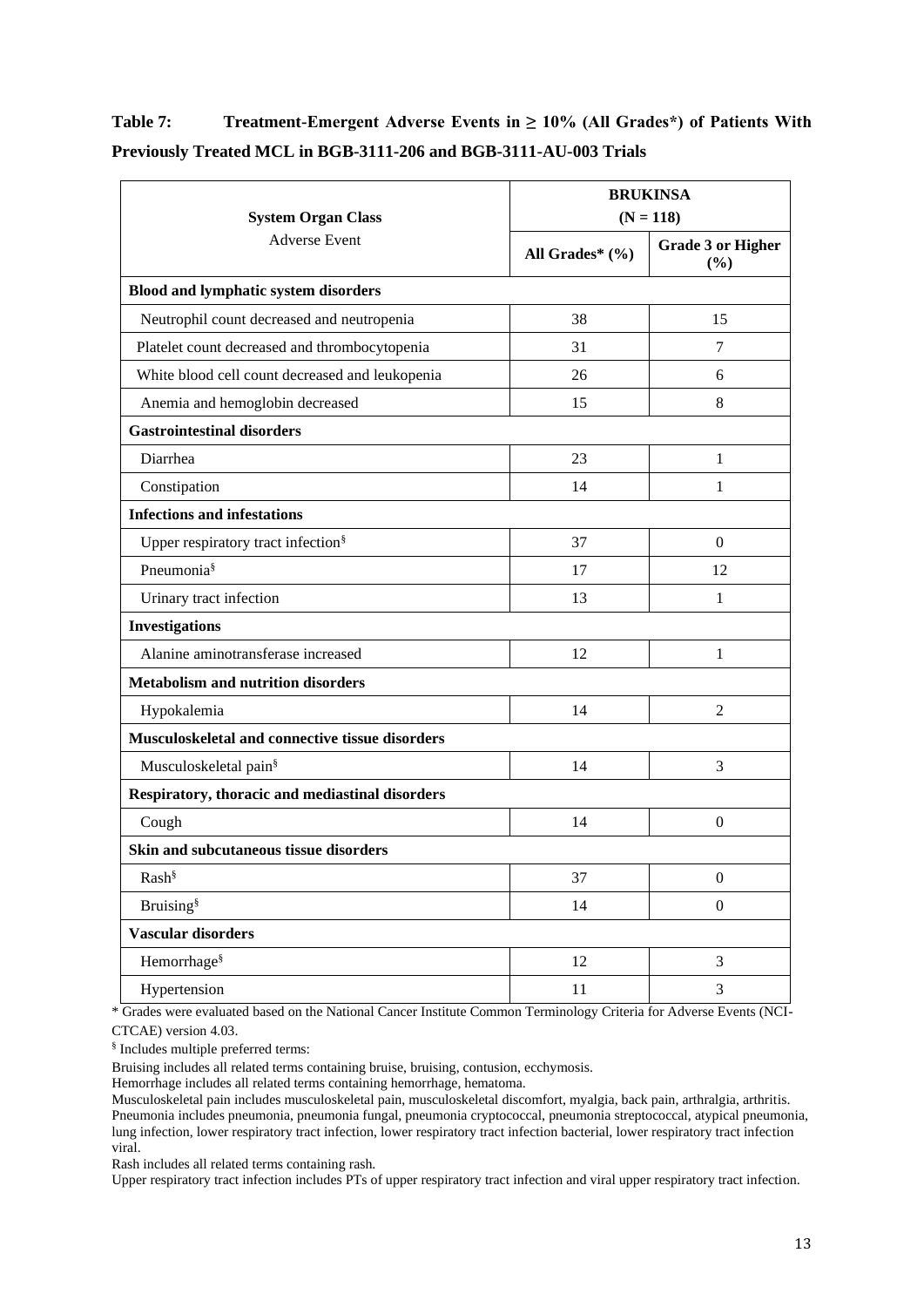## **Table 7: Treatment-Emergent Adverse Events in ≥ 10% (All Grades\*) of Patients With Previously Treated MCL in BGB-3111-206 and BGB-3111-AU-003 Trials**

|                                                 |                     | <b>BRUKINSA</b><br>$(N = 118)$     |  |  |
|-------------------------------------------------|---------------------|------------------------------------|--|--|
| <b>System Organ Class</b>                       |                     |                                    |  |  |
| <b>Adverse Event</b>                            | All Grades* $(\% )$ | <b>Grade 3 or Higher</b><br>$(\%)$ |  |  |
| <b>Blood and lymphatic system disorders</b>     |                     |                                    |  |  |
| Neutrophil count decreased and neutropenia      | 38                  | 15                                 |  |  |
| Platelet count decreased and thrombocytopenia   | 31                  | 7                                  |  |  |
| White blood cell count decreased and leukopenia | 26                  | 6                                  |  |  |
| Anemia and hemoglobin decreased                 | 15                  | 8                                  |  |  |
| <b>Gastrointestinal disorders</b>               |                     |                                    |  |  |
| Diarrhea                                        | 23                  | 1                                  |  |  |
| Constipation                                    | 14                  | 1                                  |  |  |
| <b>Infections and infestations</b>              |                     |                                    |  |  |
| Upper respiratory tract infection <sup>§</sup>  | 37                  | $\overline{0}$                     |  |  |
| Pneumonia <sup>§</sup>                          | 17                  | 12                                 |  |  |
| Urinary tract infection                         | 13                  | 1                                  |  |  |
| <b>Investigations</b>                           |                     |                                    |  |  |
| Alanine aminotransferase increased              | 12                  | 1                                  |  |  |
| <b>Metabolism and nutrition disorders</b>       |                     |                                    |  |  |
| Hypokalemia                                     | 14                  | $\overline{2}$                     |  |  |
| Musculoskeletal and connective tissue disorders |                     |                                    |  |  |
| Musculoskeletal pain <sup>§</sup>               | 14                  | 3                                  |  |  |
| Respiratory, thoracic and mediastinal disorders |                     |                                    |  |  |
| Cough                                           | 14                  | $\mathbf{0}$                       |  |  |
| Skin and subcutaneous tissue disorders          |                     |                                    |  |  |
| Rash <sup>§</sup>                               | 37                  | $\mathbf{0}$                       |  |  |
| <b>Bruising</b> <sup>§</sup>                    | 14                  | $\boldsymbol{0}$                   |  |  |
| <b>Vascular disorders</b>                       |                     |                                    |  |  |
| Hemorrhage <sup>§</sup>                         | 12                  | $\overline{3}$                     |  |  |
| Hypertension                                    | 11                  | 3                                  |  |  |

\* Grades were evaluated based on the National Cancer Institute Common Terminology Criteria for Adverse Events (NCI-CTCAE) version 4.03.

§ Includes multiple preferred terms:

Bruising includes all related terms containing bruise, bruising, contusion, ecchymosis.

Hemorrhage includes all related terms containing hemorrhage, hematoma.

Musculoskeletal pain includes musculoskeletal pain, musculoskeletal discomfort, myalgia, back pain, arthralgia, arthritis. Pneumonia includes pneumonia, pneumonia fungal, pneumonia cryptococcal, pneumonia streptococcal, atypical pneumonia, lung infection, lower respiratory tract infection, lower respiratory tract infection bacterial, lower respiratory tract infection viral.

Rash includes all related terms containing rash.

Upper respiratory tract infection includes PTs of upper respiratory tract infection and viral upper respiratory tract infection.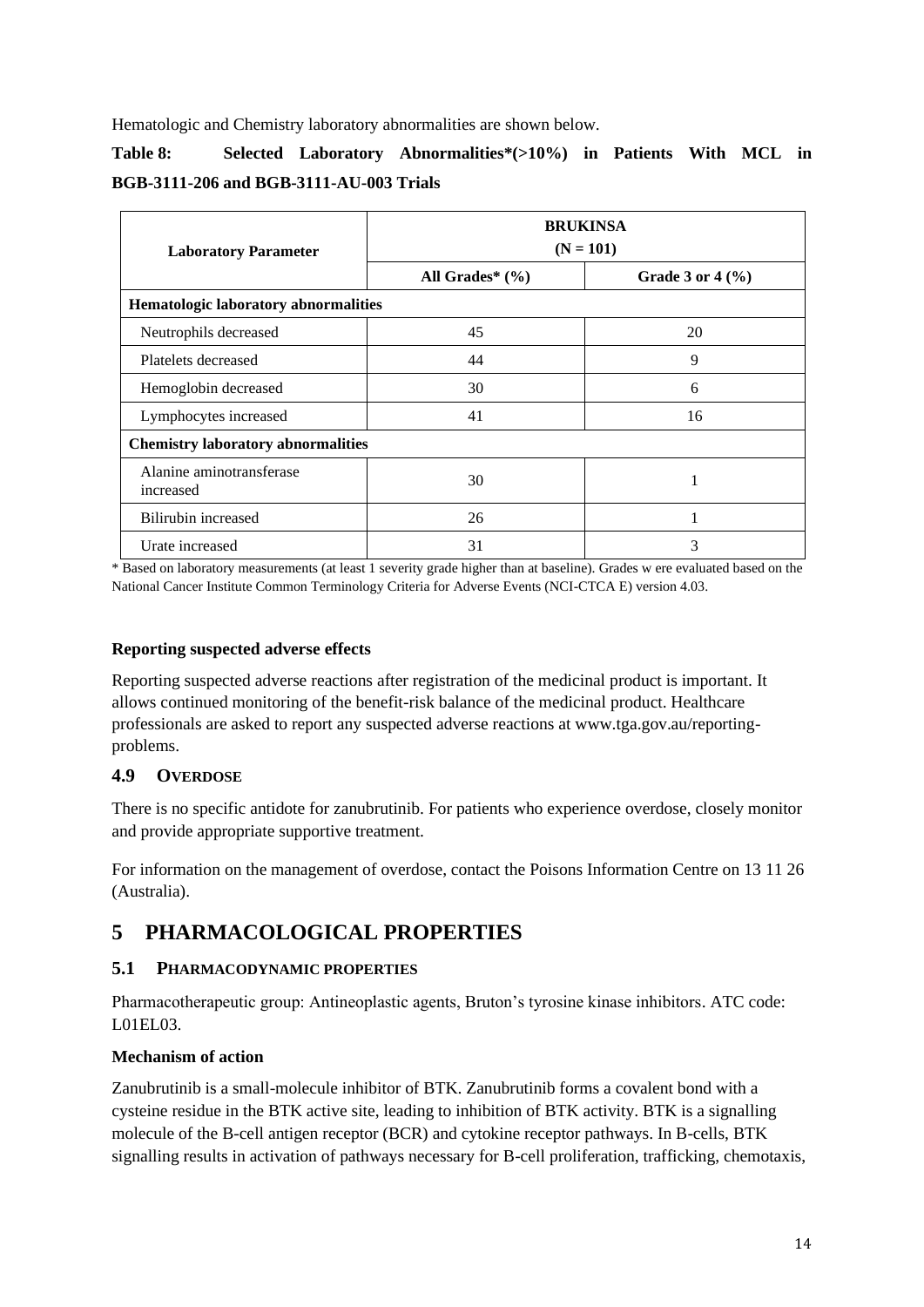Hematologic and Chemistry laboratory abnormalities are shown below.

## **Table 8: Selected Laboratory Abnormalities\*(>10%) in Patients With MCL in BGB-3111-206 and BGB-3111-AU-003 Trials**

| <b>Laboratory Parameter</b>               | <b>BRUKINSA</b><br>$(N = 101)$ |                                        |  |
|-------------------------------------------|--------------------------------|----------------------------------------|--|
|                                           | All Grades* $(\% )$            | Grade 3 or $4\left(\frac{9}{6}\right)$ |  |
| Hematologic laboratory abnormalities      |                                |                                        |  |
| Neutrophils decreased                     | 45                             | 20                                     |  |
| Platelets decreased                       | 44                             | 9                                      |  |
| Hemoglobin decreased                      | 30                             | 6                                      |  |
| Lymphocytes increased                     | 41                             | 16                                     |  |
| <b>Chemistry laboratory abnormalities</b> |                                |                                        |  |
| Alanine aminotransferase<br>increased     | 30                             |                                        |  |
| Bilirubin increased                       | 26                             |                                        |  |
| Urate increased                           | 31                             | 3                                      |  |

\* Based on laboratory measurements (at least 1 severity grade higher than at baseline). Grades w ere evaluated based on the National Cancer Institute Common Terminology Criteria for Adverse Events (NCI-CTCA E) version 4.03.

### **Reporting suspected adverse effects**

Reporting suspected adverse reactions after registration of the medicinal product is important. It allows continued monitoring of the benefit-risk balance of the medicinal product. Healthcare professionals are asked to report any suspected adverse reactions at www.tga.gov.au/reportingproblems.

## **4.9 OVERDOSE**

There is no specific antidote for zanubrutinib. For patients who experience overdose, closely monitor and provide appropriate supportive treatment.

For information on the management of overdose, contact the Poisons Information Centre on 13 11 26 (Australia).

# **5 PHARMACOLOGICAL PROPERTIES**

## **5.1 PHARMACODYNAMIC PROPERTIES**

Pharmacotherapeutic group: Antineoplastic agents, Bruton's tyrosine kinase inhibitors. ATC code: L01EL03.

## **Mechanism of action**

Zanubrutinib is a small-molecule inhibitor of BTK. Zanubrutinib forms a covalent bond with a cysteine residue in the BTK active site, leading to inhibition of BTK activity. BTK is a signalling molecule of the B-cell antigen receptor (BCR) and cytokine receptor pathways. In B-cells, BTK signalling results in activation of pathways necessary for B-cell proliferation, trafficking, chemotaxis,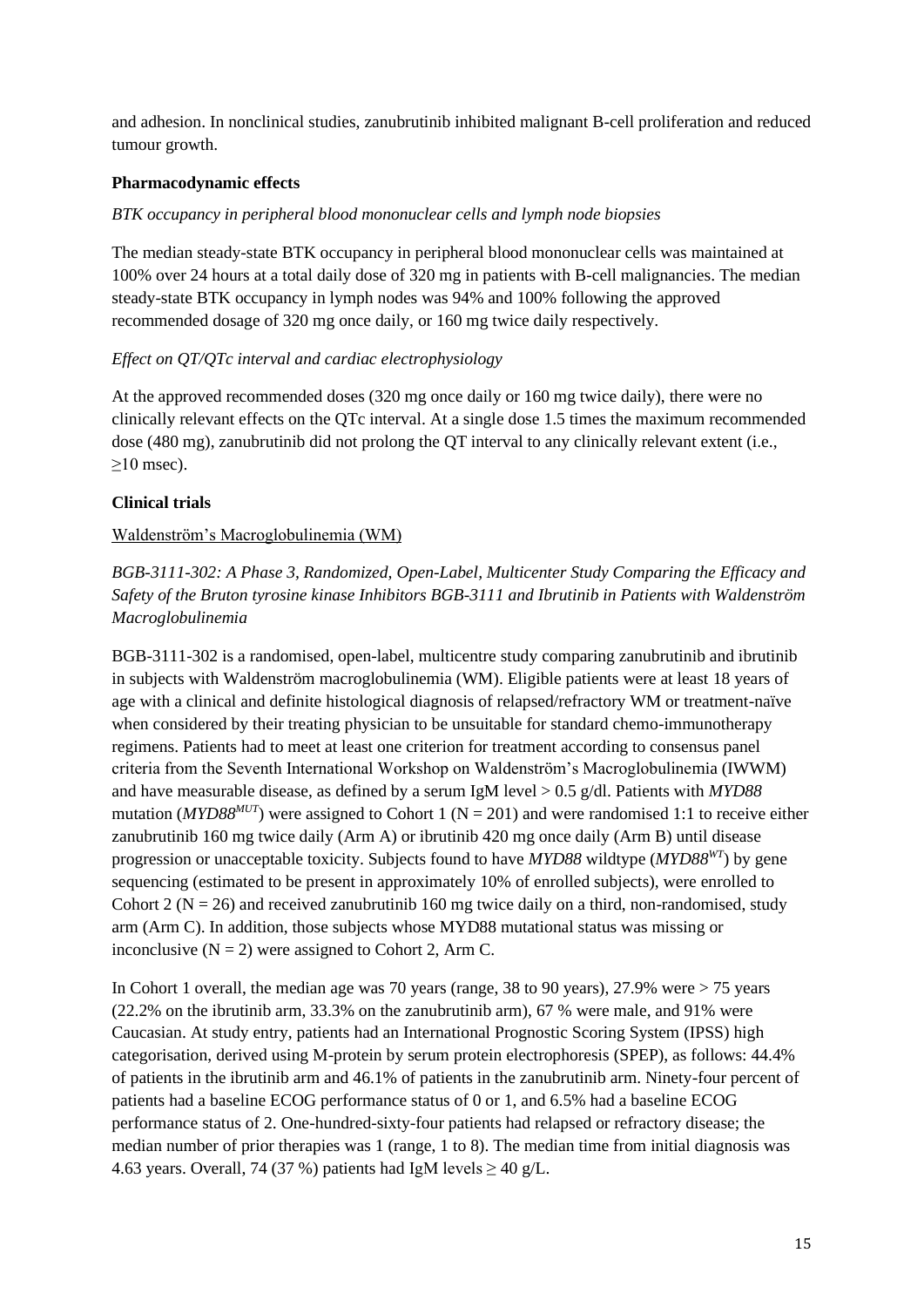and adhesion. In nonclinical studies, zanubrutinib inhibited malignant B-cell proliferation and reduced tumour growth.

## **Pharmacodynamic effects**

### *BTK occupancy in peripheral blood mononuclear cells and lymph node biopsies*

The median steady-state BTK occupancy in peripheral blood mononuclear cells was maintained at 100% over 24 hours at a total daily dose of 320 mg in patients with B-cell malignancies. The median steady-state BTK occupancy in lymph nodes was 94% and 100% following the approved recommended dosage of 320 mg once daily, or 160 mg twice daily respectively.

## *Effect on QT/QTc interval and cardiac electrophysiology*

At the approved recommended doses (320 mg once daily or 160 mg twice daily), there were no clinically relevant effects on the QTc interval. At a single dose 1.5 times the maximum recommended dose (480 mg), zanubrutinib did not prolong the QT interval to any clinically relevant extent (i.e.,  $\geq$ 10 msec).

## **Clinical trials**

## Waldenström's Macroglobulinemia (WM)

*BGB-3111-302: A Phase 3, Randomized, Open-Label, Multicenter Study Comparing the Efficacy and Safety of the Bruton tyrosine kinase Inhibitors BGB-3111 and Ibrutinib in Patients with Waldenström Macroglobulinemia*

BGB-3111-302 is a randomised, open-label, multicentre study comparing zanubrutinib and ibrutinib in subjects with Waldenström macroglobulinemia (WM). Eligible patients were at least 18 years of age with a clinical and definite histological diagnosis of relapsed/refractory WM or treatment-naïve when considered by their treating physician to be unsuitable for standard chemo-immunotherapy regimens. Patients had to meet at least one criterion for treatment according to consensus panel criteria from the Seventh International Workshop on Waldenström's Macroglobulinemia (IWWM) and have measurable disease, as defined by a serum IgM level > 0.5 g/dl. Patients with *MYD88*  mutation (*MYD88<sup>MUT</sup>*) were assigned to Cohort 1 ( $N = 201$ ) and were randomised 1:1 to receive either zanubrutinib 160 mg twice daily (Arm A) or ibrutinib 420 mg once daily (Arm B) until disease progression or unacceptable toxicity. Subjects found to have *MYD88* wildtype (*MYD88WT*) by gene sequencing (estimated to be present in approximately 10% of enrolled subjects), were enrolled to Cohort 2 ( $N = 26$ ) and received zanubrutinib 160 mg twice daily on a third, non-randomised, study arm (Arm C). In addition, those subjects whose MYD88 mutational status was missing or inconclusive  $(N = 2)$  were assigned to Cohort 2, Arm C.

In Cohort 1 overall, the median age was 70 years (range, 38 to 90 years), 27.9% were > 75 years (22.2% on the ibrutinib arm, 33.3% on the zanubrutinib arm), 67 % were male, and 91% were Caucasian. At study entry, patients had an International Prognostic Scoring System (IPSS) high categorisation, derived using M-protein by serum protein electrophoresis (SPEP), as follows: 44.4% of patients in the ibrutinib arm and 46.1% of patients in the zanubrutinib arm. Ninety-four percent of patients had a baseline ECOG performance status of 0 or 1, and 6.5% had a baseline ECOG performance status of 2. One-hundred-sixty-four patients had relapsed or refractory disease; the median number of prior therapies was 1 (range, 1 to 8). The median time from initial diagnosis was 4.63 years. Overall, 74 (37 %) patients had IgM levels  $\geq$  40 g/L.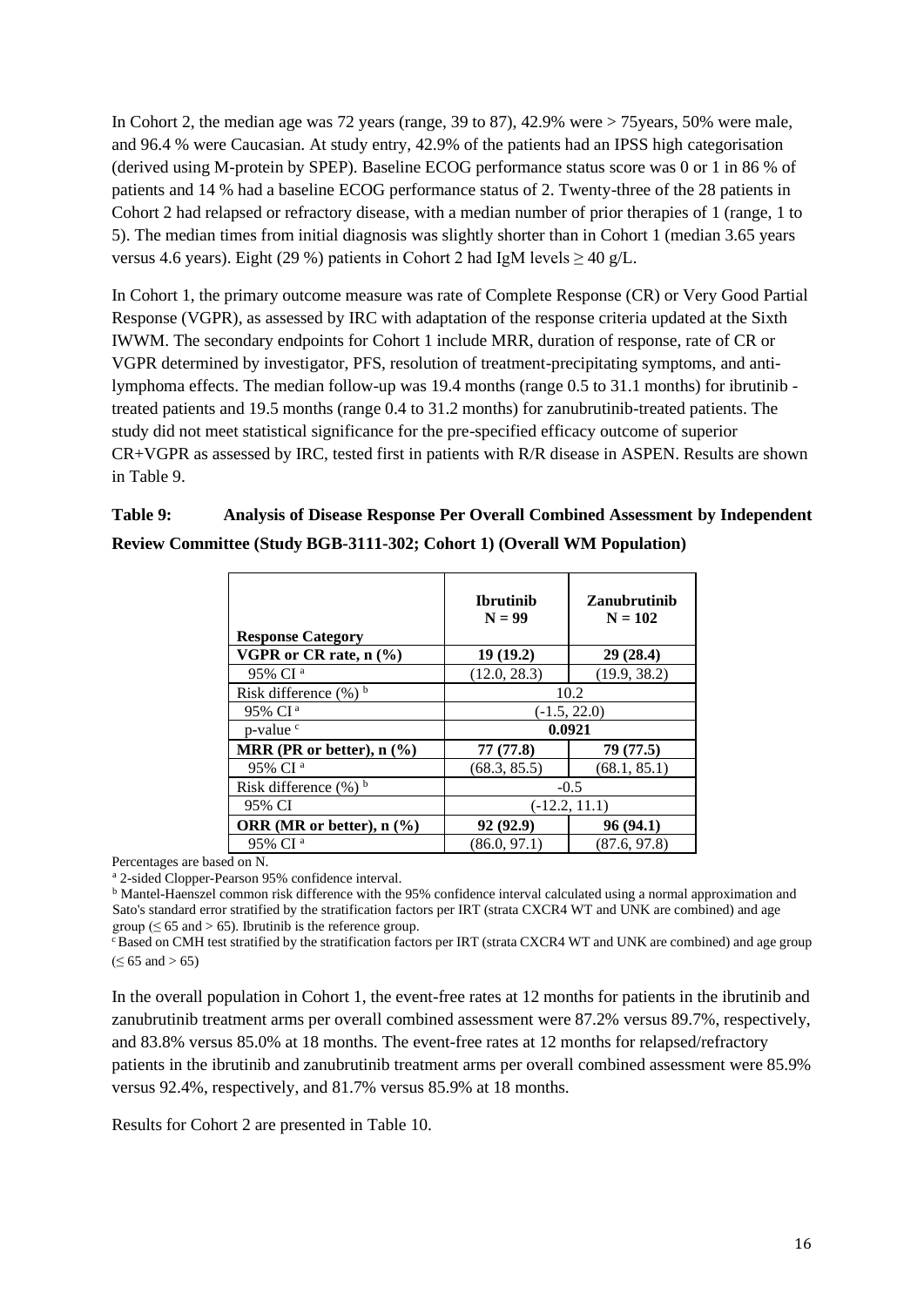In Cohort 2, the median age was 72 years (range,  $39$  to  $87$ ),  $42.9\%$  were  $> 75$ years,  $50\%$  were male, and 96.4 % were Caucasian. At study entry, 42.9% of the patients had an IPSS high categorisation (derived using M-protein by SPEP). Baseline ECOG performance status score was 0 or 1 in 86 % of patients and 14 % had a baseline ECOG performance status of 2. Twenty-three of the 28 patients in Cohort 2 had relapsed or refractory disease, with a median number of prior therapies of 1 (range, 1 to 5). The median times from initial diagnosis was slightly shorter than in Cohort 1 (median 3.65 years versus 4.6 years). Eight (29 %) patients in Cohort 2 had IgM levels  $\geq 40$  g/L.

In Cohort 1, the primary outcome measure was rate of Complete Response (CR) or Very Good Partial Response (VGPR), as assessed by IRC with adaptation of the response criteria updated at the Sixth IWWM. The secondary endpoints for Cohort 1 include MRR, duration of response, rate of CR or VGPR determined by investigator, PFS, resolution of treatment-precipitating symptoms, and antilymphoma effects. The median follow-up was 19.4 months (range 0.5 to 31.1 months) for ibrutinib treated patients and 19.5 months (range 0.4 to 31.2 months) for zanubrutinib-treated patients. The study did not meet statistical significance for the pre-specified efficacy outcome of superior CR+VGPR as assessed by IRC, tested first in patients with R/R disease in ASPEN. Results are shown in Table 9.

## **Table 9: Analysis of Disease Response Per Overall Combined Assessment by Independent Review Committee (Study BGB-3111-302; Cohort 1) (Overall WM Population)**

| <b>Response Category</b>                           | <b>Ibrutinib</b><br>$N = 99$ | <b>Zanubrutinib</b><br>$N = 102$ |  |
|----------------------------------------------------|------------------------------|----------------------------------|--|
| VGPR or CR rate, $n$ $\frac{9}{6}$                 | 19(19.2)                     | 29(28.4)                         |  |
| 95% CI <sup>a</sup>                                | (12.0, 28.3)                 | (19.9, 38.2)                     |  |
| Risk difference $(\%)^b$                           | 10.2                         |                                  |  |
| 95% CI <sup>a</sup>                                |                              | $(-1.5, 22.0)$                   |  |
| p-value <sup>c</sup>                               |                              | 0.0921                           |  |
| MRR (PR or better), $n$ $\left(\frac{9}{6}\right)$ | 77 (77.8)                    | 79 (77.5)                        |  |
| 95% CI <sup>a</sup>                                | (68.3, 85.5)                 | (68.1, 85.1)                     |  |
| Risk difference $(\%)^b$                           | $-0.5$                       |                                  |  |
| 95% CI                                             | $(-12.2, 11.1)$              |                                  |  |
| ORR (MR or better), $n$ $\left(\frac{9}{6}\right)$ | 92 (92.9)                    | 96 (94.1)                        |  |
| 95% CI <sup>a</sup>                                | (86.0, 97.1)                 | (87.6, 97.8)                     |  |

Percentages are based on N.

<sup>a</sup> 2-sided Clopper-Pearson 95% confidence interval.

<sup>b</sup> Mantel-Haenszel common risk difference with the 95% confidence interval calculated using a normal approximation and Sato's standard error stratified by the stratification factors per IRT (strata CXCR4 WT and UNK are combined) and age group ( $\leq 65$  and  $> 65$ ). Ibrutinib is the reference group.

 $\epsilon$ Based on CMH test stratified by the stratification factors per IRT (strata CXCR4 WT and UNK are combined) and age group  $( \le 65 \text{ and } > 65)$ 

In the overall population in Cohort 1, the event-free rates at 12 months for patients in the ibrutinib and zanubrutinib treatment arms per overall combined assessment were 87.2% versus 89.7%, respectively, and 83.8% versus 85.0% at 18 months. The event-free rates at 12 months for relapsed/refractory patients in the ibrutinib and zanubrutinib treatment arms per overall combined assessment were 85.9% versus 92.4%, respectively, and 81.7% versus 85.9% at 18 months.

Results for Cohort 2 are presented in Table 10.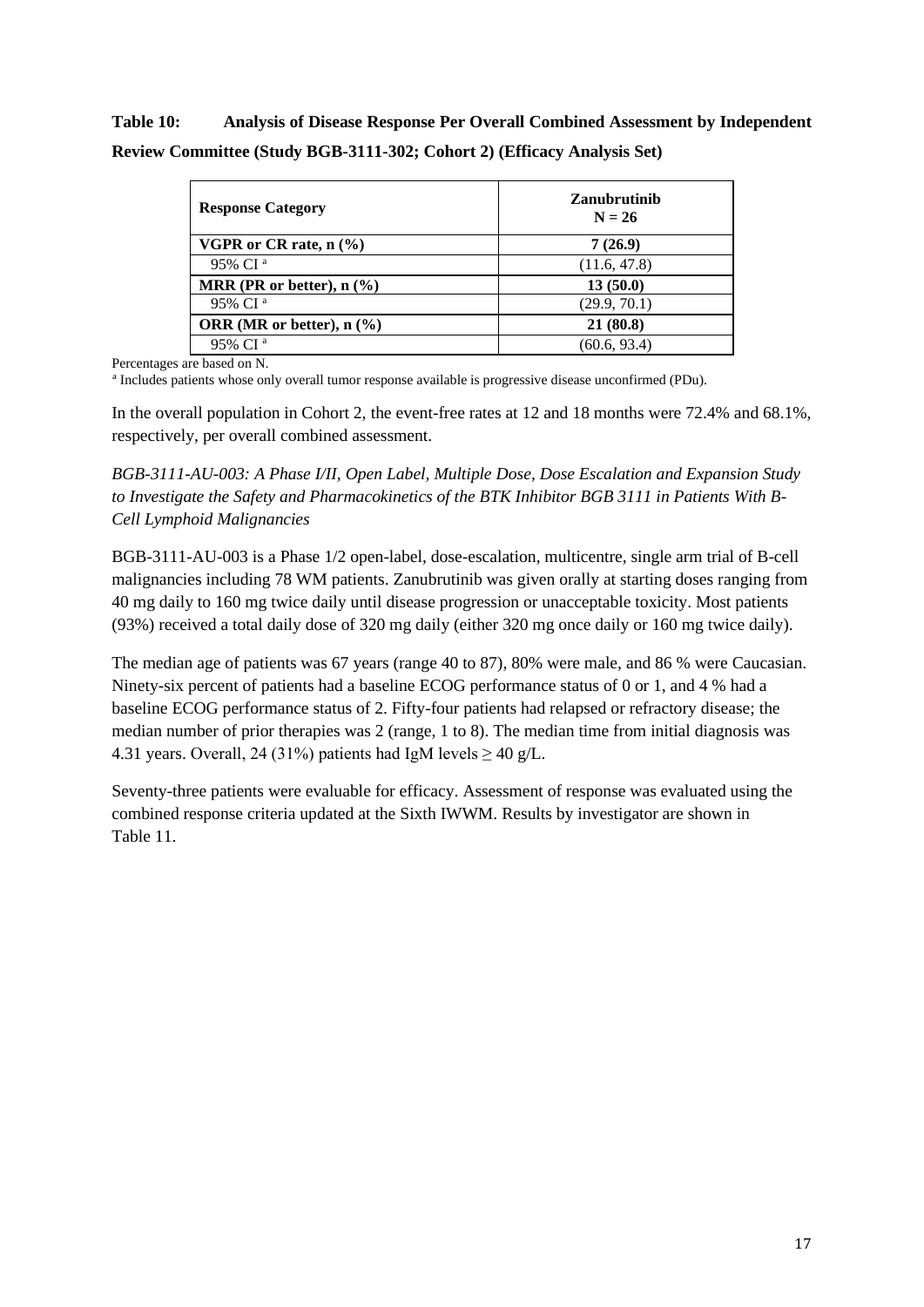**Table 10: Analysis of Disease Response Per Overall Combined Assessment by Independent Review Committee (Study BGB-3111-302; Cohort 2) (Efficacy Analysis Set)**

| <b>Response Category</b>         | <b>Zanubrutinib</b><br>$N = 26$ |
|----------------------------------|---------------------------------|
| VGPR or CR rate, $n \frac{6}{6}$ | 7(26.9)                         |
| 95% CI <sup>a</sup>              | (11.6, 47.8)                    |
| MRR (PR or better), $n$ (%)      | 13(50.0)                        |
| 95% CI <sup>a</sup>              | (29.9, 70.1)                    |
| ORR (MR or better), $n$ (%)      | 21(80.8)                        |
| 95% CI <sup>a</sup>              | (60.6, 93.4)                    |

Percentages are based on N.

a Includes patients whose only overall tumor response available is progressive disease unconfirmed (PDu).

In the overall population in Cohort 2, the event-free rates at 12 and 18 months were 72.4% and 68.1%, respectively, per overall combined assessment.

*BGB-3111-AU-003: A Phase I/II, Open Label, Multiple Dose, Dose Escalation and Expansion Study to Investigate the Safety and Pharmacokinetics of the BTK Inhibitor BGB 3111 in Patients With B-Cell Lymphoid Malignancies*

BGB-3111-AU-003 is a Phase 1/2 open-label, dose-escalation, multicentre, single arm trial of B-cell malignancies including 78 WM patients. Zanubrutinib was given orally at starting doses ranging from 40 mg daily to 160 mg twice daily until disease progression or unacceptable toxicity. Most patients (93%) received a total daily dose of 320 mg daily (either 320 mg once daily or 160 mg twice daily).

The median age of patients was 67 years (range 40 to 87), 80% were male, and 86 % were Caucasian. Ninety-six percent of patients had a baseline ECOG performance status of 0 or 1, and 4 % had a baseline ECOG performance status of 2. Fifty-four patients had relapsed or refractory disease; the median number of prior therapies was 2 (range, 1 to 8). The median time from initial diagnosis was 4.31 years. Overall, 24 (31%) patients had IgM levels  $\geq$  40 g/L.

Seventy-three patients were evaluable for efficacy. Assessment of response was evaluated using the combined response criteria updated at the Sixth IWWM. Results by investigator are shown in Table 11.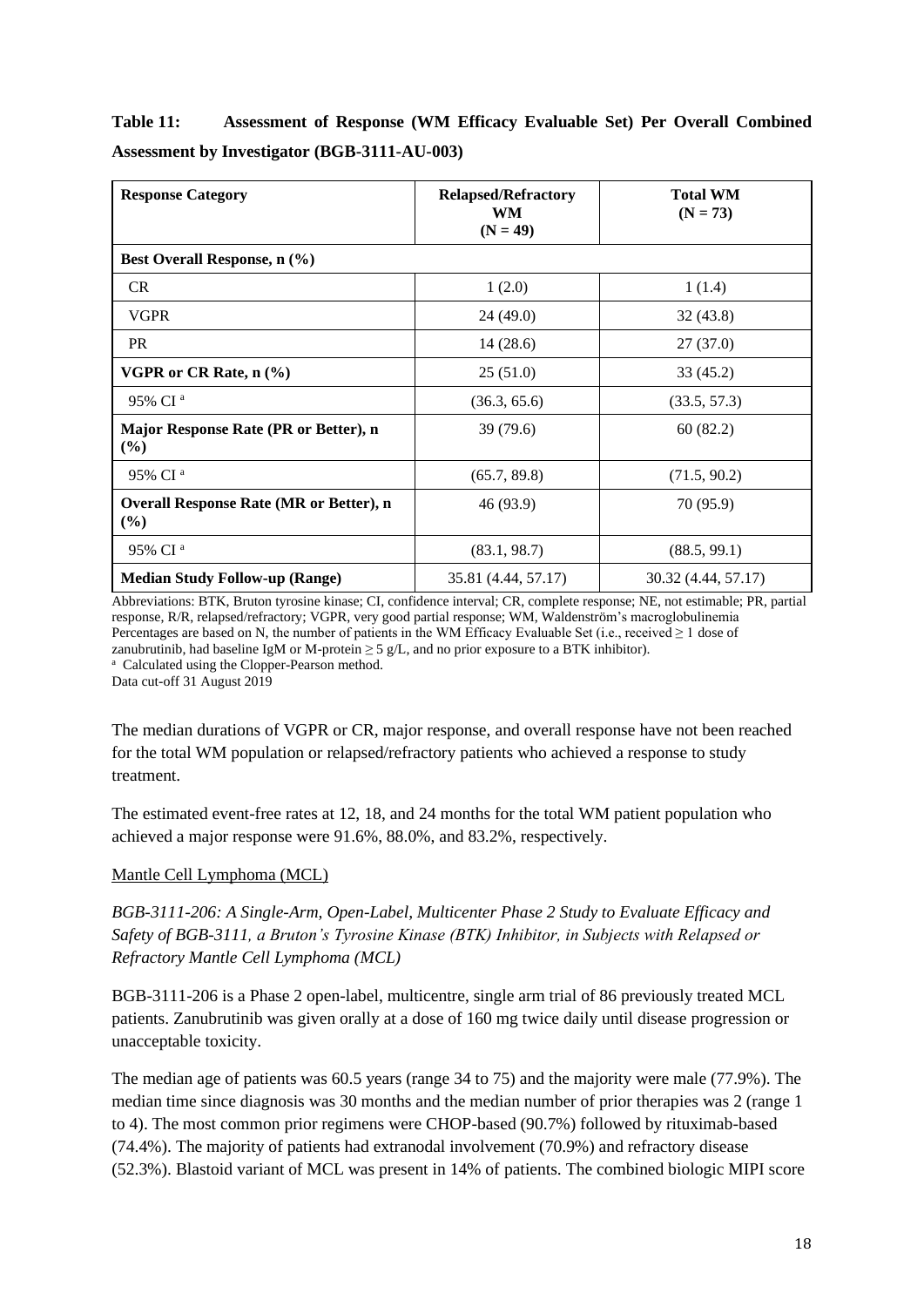| Table 11: |                                                     | Assessment of Response (WM Efficacy Evaluable Set) Per Overall Combined |  |  |
|-----------|-----------------------------------------------------|-------------------------------------------------------------------------|--|--|
|           | <b>Assessment by Investigator (BGB-3111-AU-003)</b> |                                                                         |  |  |

| <b>Response Category</b>                              | <b>Relapsed/Refractory</b><br>WM<br>$(N = 49)$ | <b>Total WM</b><br>$(N = 73)$ |  |
|-------------------------------------------------------|------------------------------------------------|-------------------------------|--|
| Best Overall Response, n (%)                          |                                                |                               |  |
| <b>CR</b>                                             | 1(2.0)                                         | 1(1.4)                        |  |
| <b>VGPR</b>                                           | 24 (49.0)                                      | 32(43.8)                      |  |
| <b>PR</b>                                             | 14(28.6)                                       | 27(37.0)                      |  |
| VGPR or CR Rate, $n$ $(\%)$                           | 25(51.0)                                       | 33 (45.2)                     |  |
| 95% CI <sup>a</sup>                                   | (36.3, 65.6)                                   | (33.5, 57.3)                  |  |
| Major Response Rate (PR or Better), n<br>(%)          | 39 (79.6)                                      | 60(82.2)                      |  |
| 95% CI <sup>a</sup>                                   | (65.7, 89.8)                                   | (71.5, 90.2)                  |  |
| <b>Overall Response Rate (MR or Better), n</b><br>(%) | 46 (93.9)                                      | 70 (95.9)                     |  |
| 95% CI <sup>a</sup>                                   | (83.1, 98.7)                                   | (88.5, 99.1)                  |  |
| <b>Median Study Follow-up (Range)</b>                 | 35.81 (4.44, 57.17)                            | 30.32 (4.44, 57.17)           |  |

Abbreviations: BTK, Bruton tyrosine kinase; CI, confidence interval; CR, complete response; NE, not estimable; PR, partial response, R/R, relapsed/refractory; VGPR, very good partial response; WM, Waldenström's macroglobulinemia Percentages are based on N, the number of patients in the WM Efficacy Evaluable Set (i.e., received  $\geq 1$  dose of zanubrutinib, had baseline IgM or M-protein  $\geq$  5 g/L, and no prior exposure to a BTK inhibitor). <sup>a</sup> Calculated using the Clopper-Pearson method.

Data cut-off 31 August 2019

The median durations of VGPR or CR, major response, and overall response have not been reached for the total WM population or relapsed/refractory patients who achieved a response to study treatment.

The estimated event-free rates at 12, 18, and 24 months for the total WM patient population who achieved a major response were 91.6%, 88.0%, and 83.2%, respectively.

## Mantle Cell Lymphoma (MCL)

*BGB-3111-206: A Single-Arm, Open-Label, Multicenter Phase 2 Study to Evaluate Efficacy and Safety of BGB-3111, a Bruton's Tyrosine Kinase (BTK) Inhibitor, in Subjects with Relapsed or Refractory Mantle Cell Lymphoma (MCL)*

BGB-3111-206 is a Phase 2 open-label, multicentre, single arm trial of 86 previously treated MCL patients. Zanubrutinib was given orally at a dose of 160 mg twice daily until disease progression or unacceptable toxicity.

The median age of patients was 60.5 years (range 34 to 75) and the majority were male (77.9%). The median time since diagnosis was 30 months and the median number of prior therapies was 2 (range 1 to 4). The most common prior regimens were CHOP-based (90.7%) followed by rituximab-based (74.4%). The majority of patients had extranodal involvement (70.9%) and refractory disease (52.3%). Blastoid variant of MCL was present in 14% of patients. The combined biologic MIPI score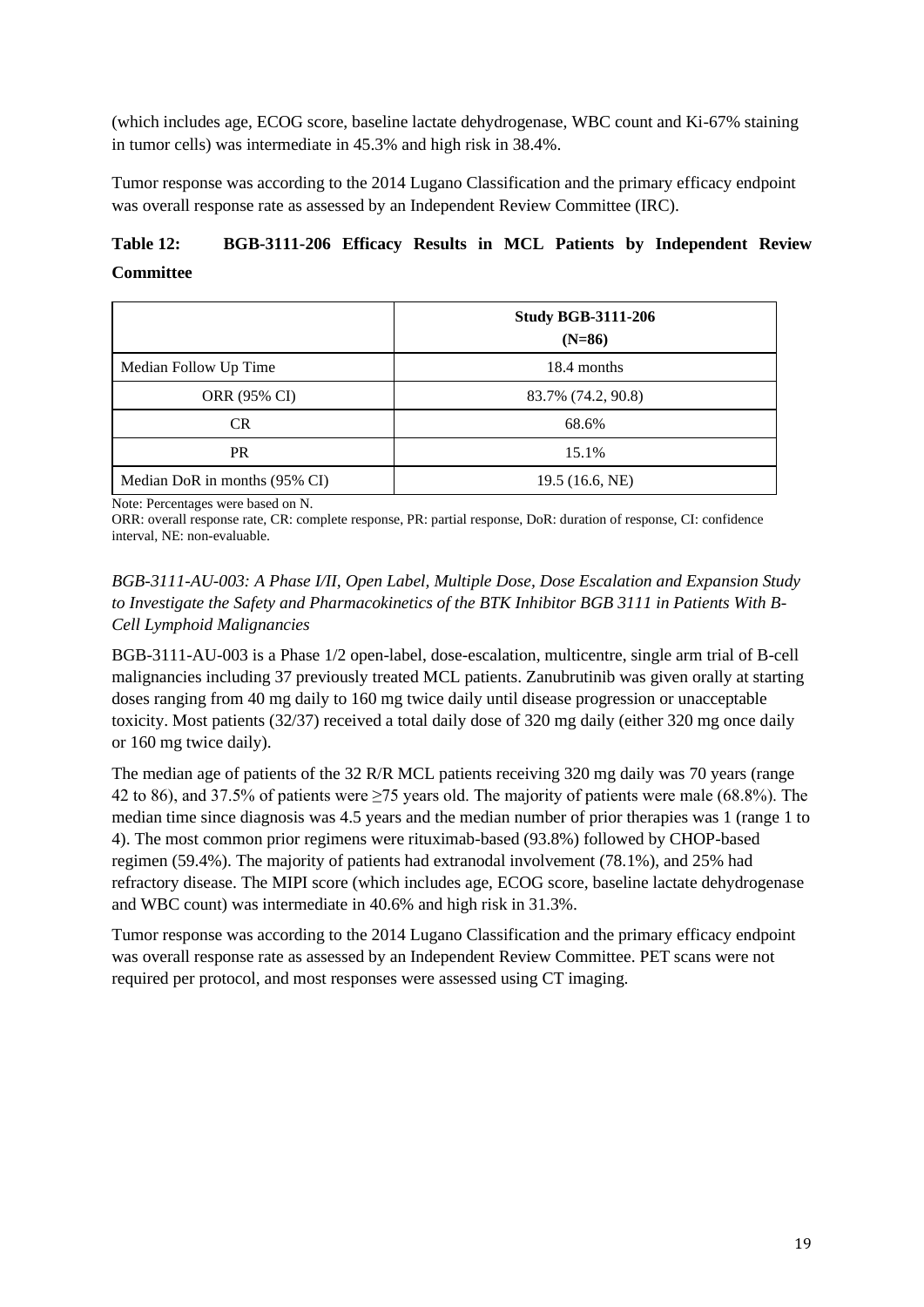(which includes age, ECOG score, baseline lactate dehydrogenase, WBC count and Ki-67% staining in tumor cells) was intermediate in 45.3% and high risk in 38.4%.

Tumor response was according to the 2014 Lugano Classification and the primary efficacy endpoint was overall response rate as assessed by an Independent Review Committee (IRC).

## **Table 12: BGB-3111-206 Efficacy Results in MCL Patients by Independent Review Committee**

|                               | <b>Study BGB-3111-206</b><br>$(N=86)$ |
|-------------------------------|---------------------------------------|
| Median Follow Up Time         | 18.4 months                           |
| ORR (95% CI)                  | 83.7% (74.2, 90.8)                    |
| CR                            | 68.6%                                 |
| <b>PR</b>                     | 15.1%                                 |
| Median DoR in months (95% CI) | 19.5(16.6, NE)                        |

Note: Percentages were based on N.

ORR: overall response rate, CR: complete response, PR: partial response, DoR: duration of response, CI: confidence interval, NE: non-evaluable.

## *BGB-3111-AU-003: A Phase I/II, Open Label, Multiple Dose, Dose Escalation and Expansion Study to Investigate the Safety and Pharmacokinetics of the BTK Inhibitor BGB 3111 in Patients With B-Cell Lymphoid Malignancies*

BGB-3111-AU-003 is a Phase 1/2 open-label, dose-escalation, multicentre, single arm trial of B-cell malignancies including 37 previously treated MCL patients. Zanubrutinib was given orally at starting doses ranging from 40 mg daily to 160 mg twice daily until disease progression or unacceptable toxicity. Most patients (32/37) received a total daily dose of 320 mg daily (either 320 mg once daily or 160 mg twice daily).

The median age of patients of the 32 R/R MCL patients receiving 320 mg daily was 70 years (range 42 to 86), and 37.5% of patients were ≥75 years old. The majority of patients were male (68.8%). The median time since diagnosis was 4.5 years and the median number of prior therapies was 1 (range 1 to 4). The most common prior regimens were rituximab-based (93.8%) followed by CHOP-based regimen (59.4%). The majority of patients had extranodal involvement (78.1%), and 25% had refractory disease. The MIPI score (which includes age, ECOG score, baseline lactate dehydrogenase and WBC count) was intermediate in 40.6% and high risk in 31.3%.

Tumor response was according to the 2014 Lugano Classification and the primary efficacy endpoint was overall response rate as assessed by an Independent Review Committee. PET scans were not required per protocol, and most responses were assessed using CT imaging.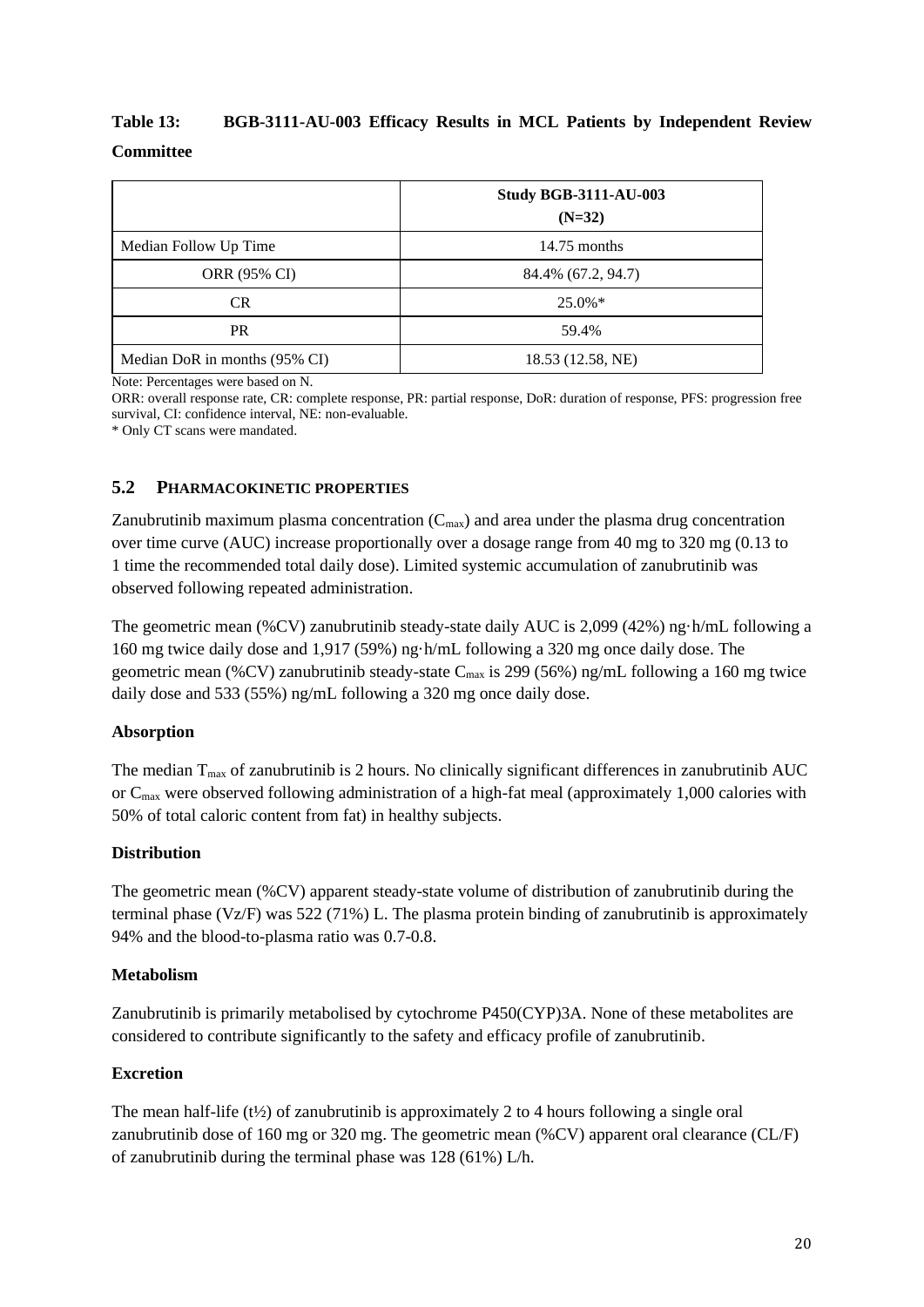## **Table 13: BGB-3111-AU-003 Efficacy Results in MCL Patients by Independent Review Committee**

|                               | <b>Study BGB-3111-AU-003</b><br>$(N=32)$ |
|-------------------------------|------------------------------------------|
| Median Follow Up Time         | $14.75$ months                           |
| ORR (95% CI)                  | 84.4% (67.2, 94.7)                       |
| <b>CR</b>                     | $25.0\%*$                                |
| <b>PR</b>                     | 59.4%                                    |
| Median DoR in months (95% CI) | 18.53 (12.58, NE)                        |

Note: Percentages were based on N.

ORR: overall response rate, CR: complete response, PR: partial response, DoR: duration of response, PFS: progression free survival, CI: confidence interval, NE: non-evaluable.

\* Only CT scans were mandated.

## **5.2 PHARMACOKINETIC PROPERTIES**

Zanubrutinib maximum plasma concentration  $(C_{\text{max}})$  and area under the plasma drug concentration over time curve (AUC) increase proportionally over a dosage range from 40 mg to 320 mg (0.13 to 1 time the recommended total daily dose). Limited systemic accumulation of zanubrutinib was observed following repeated administration.

The geometric mean (%CV) zanubrutinib steady-state daily AUC is 2,099 (42%) ng·h/mL following a 160 mg twice daily dose and 1,917 (59%) ng·h/mL following a 320 mg once daily dose. The geometric mean (%CV) zanubrutinib steady-state C<sub>max</sub> is 299 (56%) ng/mL following a 160 mg twice daily dose and 533 (55%) ng/mL following a 320 mg once daily dose.

## **Absorption**

The median  $T_{\text{max}}$  of zanubrutinib is 2 hours. No clinically significant differences in zanubrutinib AUC or Cmax were observed following administration of a high-fat meal (approximately 1,000 calories with 50% of total caloric content from fat) in healthy subjects.

## **Distribution**

The geometric mean (%CV) apparent steady-state volume of distribution of zanubrutinib during the terminal phase (Vz/F) was 522 (71%) L. The plasma protein binding of zanubrutinib is approximately 94% and the blood-to-plasma ratio was 0.7-0.8.

#### **Metabolism**

Zanubrutinib is primarily metabolised by cytochrome P450(CYP)3A. None of these metabolites are considered to contribute significantly to the safety and efficacy profile of zanubrutinib.

## **Excretion**

The mean half-life  $(t\frac{1}{2})$  of zanubrutinib is approximately 2 to 4 hours following a single oral zanubrutinib dose of 160 mg or 320 mg. The geometric mean (%CV) apparent oral clearance (CL/F) of zanubrutinib during the terminal phase was 128 (61%) L/h.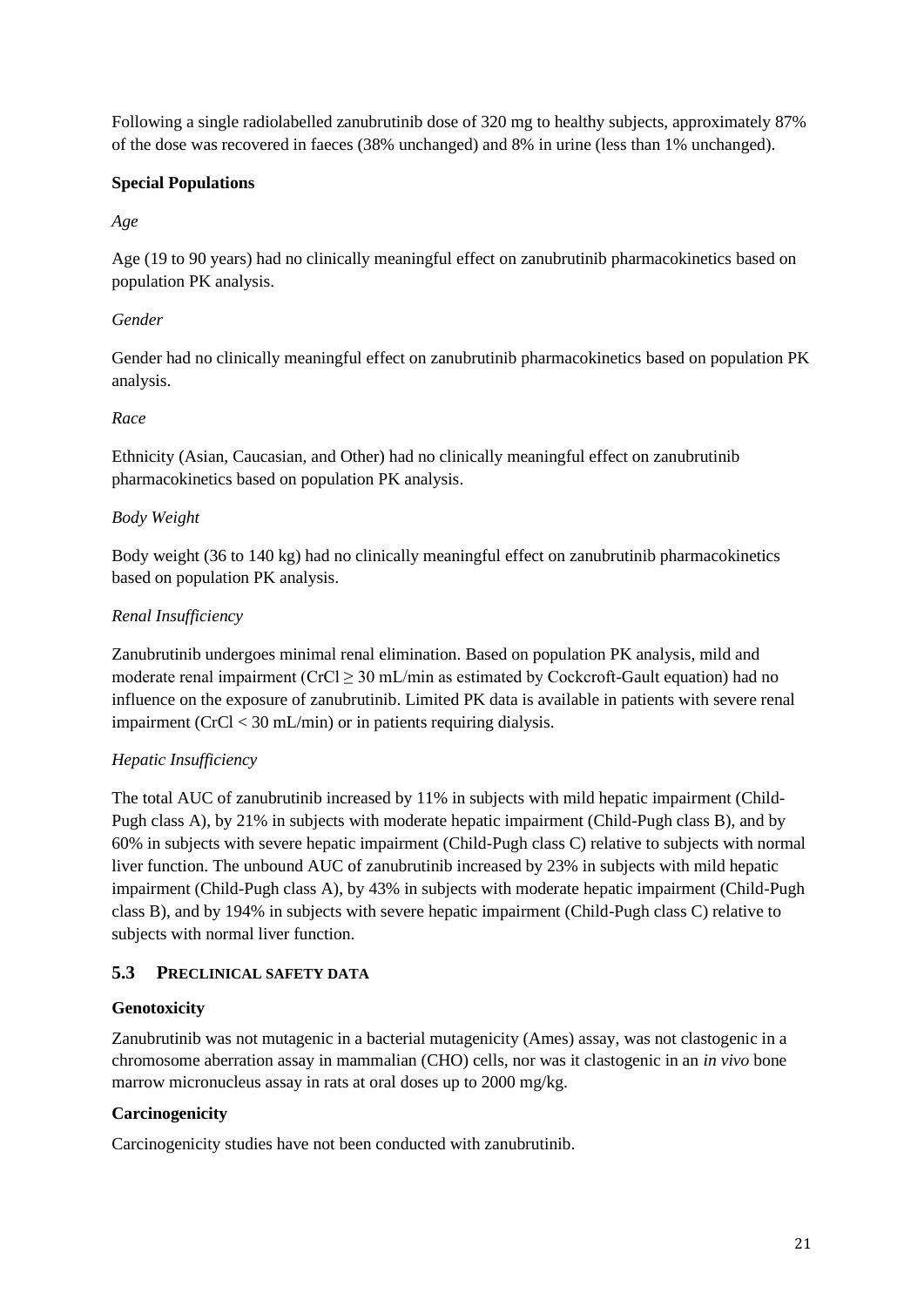Following a single radiolabelled zanubrutinib dose of 320 mg to healthy subjects, approximately 87% of the dose was recovered in faeces (38% unchanged) and 8% in urine (less than 1% unchanged).

## **Special Populations**

## *Age*

Age (19 to 90 years) had no clinically meaningful effect on zanubrutinib pharmacokinetics based on population PK analysis.

## *Gender*

Gender had no clinically meaningful effect on zanubrutinib pharmacokinetics based on population PK analysis.

## *Race*

Ethnicity (Asian, Caucasian, and Other) had no clinically meaningful effect on zanubrutinib pharmacokinetics based on population PK analysis.

## *Body Weight*

Body weight (36 to 140 kg) had no clinically meaningful effect on zanubrutinib pharmacokinetics based on population PK analysis.

## *Renal Insufficiency*

Zanubrutinib undergoes minimal renal elimination. Based on population PK analysis, mild and moderate renal impairment ( $CrCl \geq 30$  mL/min as estimated by Cockcroft-Gault equation) had no influence on the exposure of zanubrutinib. Limited PK data is available in patients with severe renal impairment (CrCl < 30 mL/min) or in patients requiring dialysis.

## *Hepatic Insufficiency*

The total AUC of zanubrutinib increased by 11% in subjects with mild hepatic impairment (Child-Pugh class A), by 21% in subjects with moderate hepatic impairment (Child-Pugh class B), and by 60% in subjects with severe hepatic impairment (Child-Pugh class C) relative to subjects with normal liver function. The unbound AUC of zanubrutinib increased by 23% in subjects with mild hepatic impairment (Child-Pugh class A), by 43% in subjects with moderate hepatic impairment (Child-Pugh class B), and by 194% in subjects with severe hepatic impairment (Child-Pugh class C) relative to subjects with normal liver function.

## **5.3 PRECLINICAL SAFETY DATA**

## **Genotoxicity**

Zanubrutinib was not mutagenic in a bacterial mutagenicity (Ames) assay, was not clastogenic in a chromosome aberration assay in mammalian (CHO) cells, nor was it clastogenic in an *in vivo* bone marrow micronucleus assay in rats at oral doses up to 2000 mg/kg.

## **Carcinogenicity**

Carcinogenicity studies have not been conducted with zanubrutinib.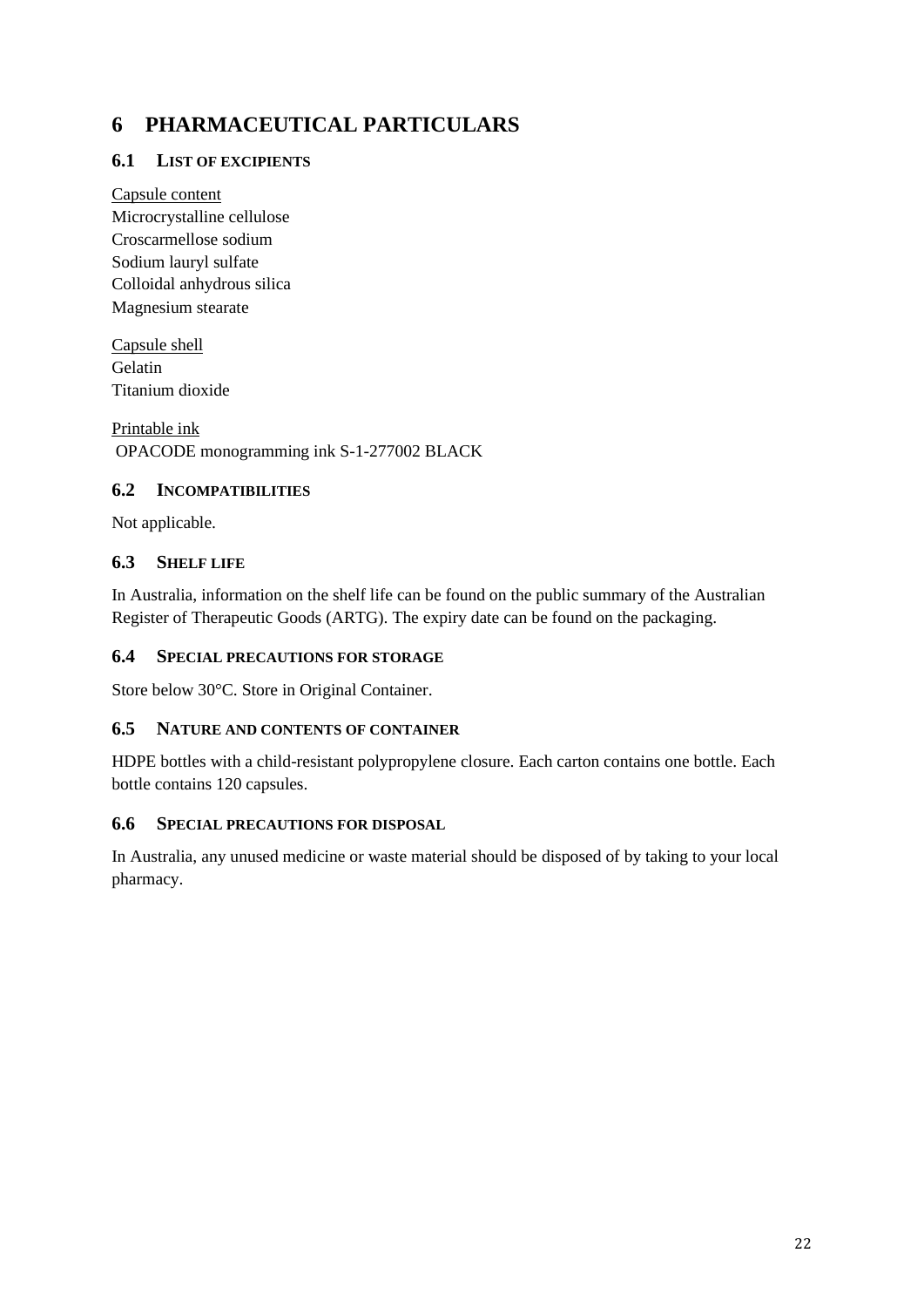# **6 PHARMACEUTICAL PARTICULARS**

## **6.1 LIST OF EXCIPIENTS**

Capsule content Microcrystalline cellulose Croscarmellose sodium Sodium lauryl sulfate Colloidal anhydrous silica Magnesium stearate

Capsule shell Gelatin Titanium dioxide

Printable ink OPACODE monogramming ink S-1-277002 BLACK

## **6.2 INCOMPATIBILITIES**

Not applicable.

## **6.3 SHELF LIFE**

In Australia, information on the shelf life can be found on the public summary of the Australian Register of Therapeutic Goods (ARTG). The expiry date can be found on the packaging.

## **6.4 SPECIAL PRECAUTIONS FOR STORAGE**

Store below 30°C. Store in Original Container.

## **6.5 NATURE AND CONTENTS OF CONTAINER**

HDPE bottles with a child-resistant polypropylene closure. Each carton contains one bottle. Each bottle contains 120 capsules.

#### **6.6 SPECIAL PRECAUTIONS FOR DISPOSAL**

In Australia, any unused medicine or waste material should be disposed of by taking to your local pharmacy.